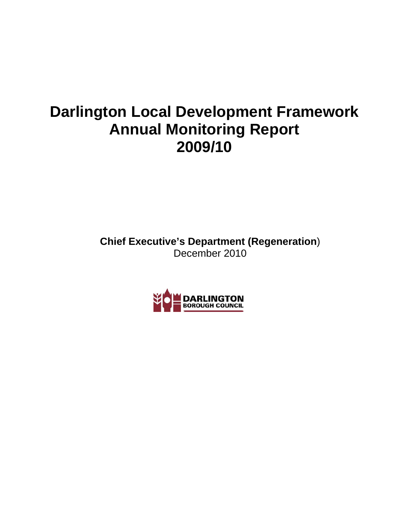# **Darlington Local Development Framework Annual Monitoring Report 2009/10**

**Chief Executive's Department (Regeneration**) December 2010

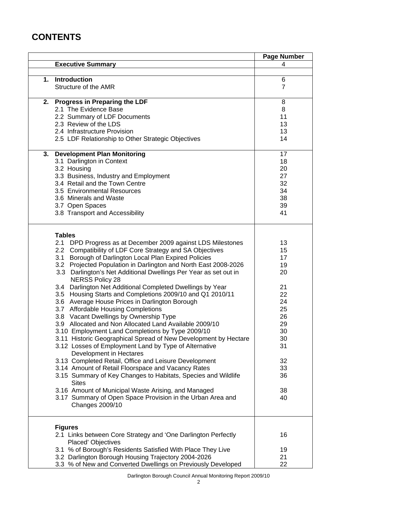# **CONTENTS**

|                                                                                            | <b>Page Number</b> |
|--------------------------------------------------------------------------------------------|--------------------|
| <b>Executive Summary</b>                                                                   | 4                  |
|                                                                                            |                    |
| 1. Introduction                                                                            | 6                  |
| Structure of the AMR                                                                       | $\overline{7}$     |
| 2. Progress in Preparing the LDF                                                           | 8                  |
| 2.1 The Evidence Base                                                                      | 8                  |
| 2.2 Summary of LDF Documents                                                               | 11                 |
| 2.3 Review of the LDS                                                                      | 13                 |
| 2.4 Infrastructure Provision                                                               | 13                 |
| 2.5 LDF Relationship to Other Strategic Objectives                                         | 14                 |
| 3. Development Plan Monitoring                                                             | 17                 |
| 3.1 Darlington in Context                                                                  | 18                 |
| 3.2 Housing                                                                                | 20                 |
| 3.3 Business, Industry and Employment                                                      | 27                 |
| 3.4 Retail and the Town Centre                                                             | 32                 |
| 3.5 Environmental Resources                                                                | 34                 |
| 3.6 Minerals and Waste                                                                     | 38                 |
| 3.7 Open Spaces                                                                            | 39                 |
| 3.8 Transport and Accessibility                                                            | 41                 |
|                                                                                            |                    |
| <b>Tables</b>                                                                              |                    |
| 2.1 DPD Progress as at December 2009 against LDS Milestones                                | 13                 |
| 2.2 Compatibility of LDF Core Strategy and SA Objectives                                   | 15                 |
| 3.1 Borough of Darlington Local Plan Expired Policies                                      | 17                 |
| 3.2 Projected Population in Darlington and North East 2008-2026                            | 19                 |
| 3.3 Darlington's Net Additional Dwellings Per Year as set out in<br><b>NERSS Policy 28</b> | 20                 |
| 3.4 Darlington Net Additional Completed Dwellings by Year                                  | 21                 |
| 3.5 Housing Starts and Completions 2009/10 and Q1 2010/11                                  | 22                 |
| 3.6 Average House Prices in Darlington Borough                                             | 24                 |
| 3.7 Affordable Housing Completions                                                         | 25                 |
| 3.8 Vacant Dwellings by Ownership Type                                                     | 26                 |
| 3.9 Allocated and Non Allocated Land Available 2009/10                                     | 29                 |
| 3.10 Employment Land Completions by Type 2009/10                                           | 30                 |
| 3.11 Historic Geographical Spread of New Development by Hectare                            | 30                 |
| 3.12 Losses of Employment Land by Type of Alternative<br>Development in Hectares           | 31                 |
| 3.13 Completed Retail, Office and Leisure Development                                      | 32                 |
| 3.14 Amount of Retail Floorspace and Vacancy Rates                                         | 33                 |
| 3.15 Summary of Key Changes to Habitats, Species and Wildlife<br><b>Sites</b>              | 36                 |
| 3.16 Amount of Municipal Waste Arising, and Managed                                        | 38                 |
| 3.17 Summary of Open Space Provision in the Urban Area and                                 | 40                 |
| Changes 2009/10                                                                            |                    |
| <b>Figures</b>                                                                             |                    |
| 2.1 Links between Core Strategy and 'One Darlington Perfectly<br>Placed' Objectives        | 16                 |
| 3.1 % of Borough's Residents Satisfied With Place They Live                                | 19                 |
| 3.2 Darlington Borough Housing Trajectory 2004-2026                                        | 21                 |
| 3.3 % of New and Converted Dwellings on Previously Developed                               | 22                 |
|                                                                                            |                    |

Darlington Borough Council Annual Monitoring Report 2009/10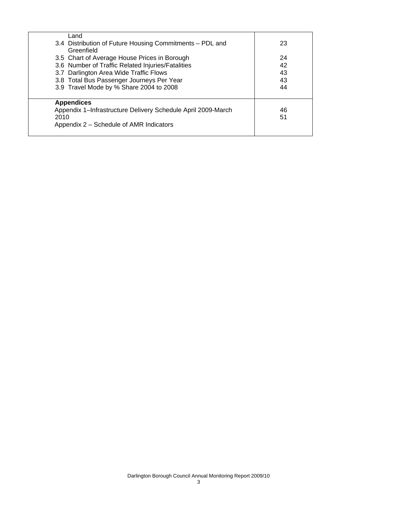| Land<br>3.4 Distribution of Future Housing Commitments - PDL and<br>Greenfield                                                                                                                                                      | 23                         |
|-------------------------------------------------------------------------------------------------------------------------------------------------------------------------------------------------------------------------------------|----------------------------|
| 3.5 Chart of Average House Prices in Borough<br>3.6 Number of Traffic Related Injuries/Fatalities<br>3.7 Darlington Area Wide Traffic Flows<br>3.8 Total Bus Passenger Journeys Per Year<br>3.9 Travel Mode by % Share 2004 to 2008 | 24<br>42<br>43<br>43<br>44 |
| <b>Appendices</b><br>Appendix 1-Infrastructure Delivery Schedule April 2009-March<br>2010<br>Appendix 2 – Schedule of AMR Indicators                                                                                                | 46<br>51                   |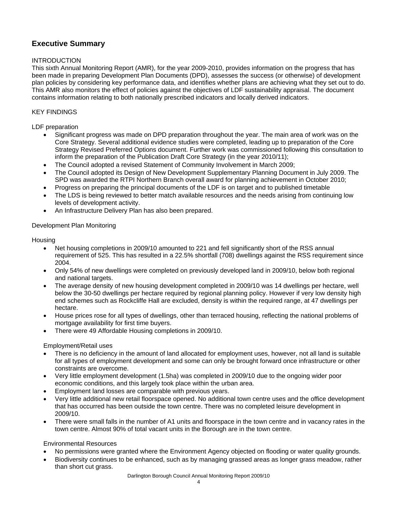# **Executive Summary**

## INTRODUCTION

This sixth Annual Monitoring Report (AMR), for the year 2009-2010, provides information on the progress that has been made in preparing Development Plan Documents (DPD), assesses the success (or otherwise) of development plan policies by considering key performance data, and identifies whether plans are achieving what they set out to do. This AMR also monitors the effect of policies against the objectives of LDF sustainability appraisal. The document contains information relating to both nationally prescribed indicators and locally derived indicators.

## KEY FINDINGS

#### LDF preparation

- Significant progress was made on DPD preparation throughout the year. The main area of work was on the Core Strategy. Several additional evidence studies were completed, leading up to preparation of the Core Strategy Revised Preferred Options document. Further work was commissioned following this consultation to inform the preparation of the Publication Draft Core Strategy (in the year 2010/11);
- The Council adopted a revised Statement of Community Involvement in March 2009;
- The Council adopted its Design of New Development Supplementary Planning Document in July 2009. The SPD was awarded the RTPI Northern Branch overall award for planning achievement in October 2010;
- Progress on preparing the principal documents of the LDF is on target and to published timetable
- The LDS is being reviewed to better match available resources and the needs arising from continuing low levels of development activity.
- An Infrastructure Delivery Plan has also been prepared.

### Development Plan Monitoring

### **Housing**

- Net housing completions in 2009/10 amounted to 221 and fell significantly short of the RSS annual requirement of 525. This has resulted in a 22.5% shortfall (708) dwellings against the RSS requirement since 2004.
- Only 54% of new dwellings were completed on previously developed land in 2009/10, below both regional and national targets.
- The average density of new housing development completed in 2009/10 was 14 dwellings per hectare, well below the 30-50 dwellings per hectare required by regional planning policy. However if very low density high end schemes such as Rockcliffe Hall are excluded, density is within the required range, at 47 dwellings per hectare.
- House prices rose for all types of dwellings, other than terraced housing, reflecting the national problems of mortgage availability for first time buyers.
- There were 49 Affordable Housing completions in 2009/10.

# Employment/Retail uses

- There is no deficiency in the amount of land allocated for employment uses, however, not all land is suitable for all types of employment development and some can only be brought forward once infrastructure or other constraints are overcome.
- Very little employment development (1.5ha) was completed in 2009/10 due to the ongoing wider poor economic conditions, and this largely took place within the urban area.
- Employment land losses are comparable with previous years.
- Very little additional new retail floorspace opened. No additional town centre uses and the office development that has occurred has been outside the town centre. There was no completed leisure development in 2009/10.
- There were small falls in the number of A1 units and floorspace in the town centre and in vacancy rates in the town centre. Almost 90% of total vacant units in the Borough are in the town centre.

#### Environmental Resources

- No permissions were granted where the Environment Agency objected on flooding or water quality grounds.
- Biodiversity continues to be enhanced, such as by managing grassed areas as longer grass meadow, rather than short cut grass.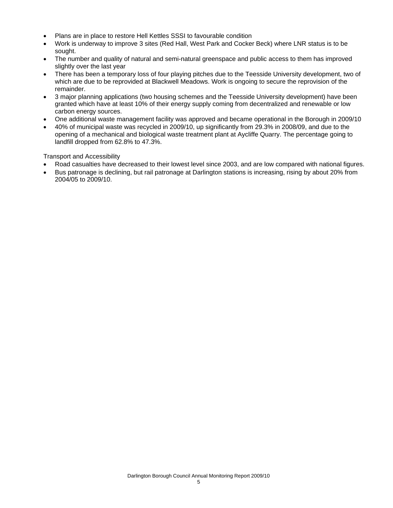- Plans are in place to restore Hell Kettles SSSI to favourable condition
- Work is underway to improve 3 sites (Red Hall, West Park and Cocker Beck) where LNR status is to be sought.
- The number and quality of natural and semi-natural greenspace and public access to them has improved slightly over the last year
- There has been a temporary loss of four playing pitches due to the Teesside University development, two of which are due to be reprovided at Blackwell Meadows. Work is ongoing to secure the reprovision of the remainder.
- 3 major planning applications (two housing schemes and the Teesside University development) have been granted which have at least 10% of their energy supply coming from decentralized and renewable or low carbon energy sources.
- One additional waste management facility was approved and became operational in the Borough in 2009/10
- 40% of municipal waste was recycled in 2009/10, up significantly from 29.3% in 2008/09, and due to the opening of a mechanical and biological waste treatment plant at Aycliffe Quarry. The percentage going to landfill dropped from 62.8% to 47.3%.

Transport and Accessibility

- Road casualties have decreased to their lowest level since 2003, and are low compared with national figures.
- Bus patronage is declining, but rail patronage at Darlington stations is increasing, rising by about 20% from 2004/05 to 2009/10.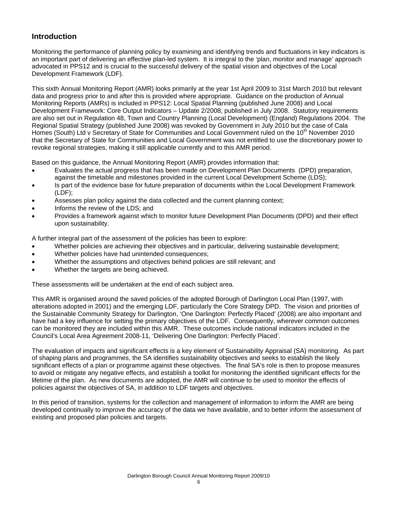# **Introduction**

Monitoring the performance of planning policy by examining and identifying trends and fluctuations in key indicators is an important part of delivering an effective plan-led system. It is integral to the 'plan, monitor and manage' approach advocated in PPS12 and is crucial to the successful delivery of the spatial vision and objectives of the Local Development Framework (LDF).

This sixth Annual Monitoring Report (AMR) looks primarily at the year 1st April 2009 to 31st March 2010 but relevant data and progress prior to and after this is provided where appropriate. Guidance on the production of Annual Monitoring Reports (AMRs) is included in PPS12: Local Spatial Planning (published June 2008) and Local Development Framework: Core Output Indicators – Update 2/2008, published in July 2008. Statutory requirements are also set out in Regulation 48, Town and Country Planning (Local Development) (England) Regulations 2004. The Regional Spatial Strategy (published June 2008) was revoked by Government in July 2010 but the case of Cala Homes (South) Ltd v Secretary of State for Communities and Local Government ruled on the 10<sup>th</sup> November 2010 that the Secretary of State for Communities and Local Government was not entitled to use the discretionary power to revoke regional strategies, making it still applicable currently and to this AMR period.

Based on this guidance, the Annual Monitoring Report (AMR) provides information that:

- Evaluates the actual progress that has been made on Development Plan Documents (DPD) preparation, against the timetable and milestones provided in the current Local Development Scheme (LDS);
- Is part of the evidence base for future preparation of documents within the Local Development Framework (LDF);
- Assesses plan policy against the data collected and the current planning context;
- Informs the review of the LDS; and
- Provides a framework against which to monitor future Development Plan Documents (DPD) and their effect upon sustainability.

A further integral part of the assessment of the policies has been to explore:

- Whether policies are achieving their objectives and in particular, delivering sustainable development;
- Whether policies have had unintended consequences;
- Whether the assumptions and objectives behind policies are still relevant; and
- Whether the targets are being achieved.

These assessments will be undertaken at the end of each subject area.

This AMR is organised around the saved policies of the adopted Borough of Darlington Local Plan (1997, with alterations adopted in 2001) and the emerging LDF, particularly the Core Strategy DPD. The vision and priorities of the Sustainable Community Strategy for Darlington, 'One Darlington: Perfectly Placed' (2008) are also important and have had a key influence for setting the primary objectives of the LDF. Consequently, wherever common outcomes can be monitored they are included within this AMR. These outcomes include national indicators included in the Council's Local Area Agreement 2008-11, 'Delivering One Darlington: Perfectly Placed'.

The evaluation of impacts and significant effects is a key element of Sustainability Appraisal (SA) monitoring. As part of shaping plans and programmes, the SA identifies sustainability objectives and seeks to establish the likely significant effects of a plan or programme against these objectives. The final SA's role is then to propose measures to avoid or mitigate any negative effects, and establish a toolkit for monitoring the identified significant effects for the lifetime of the plan. As new documents are adopted, the AMR will continue to be used to monitor the effects of policies against the objectives of SA, in addition to LDF targets and objectives.

In this period of transition, systems for the collection and management of information to inform the AMR are being developed continually to improve the accuracy of the data we have available, and to better inform the assessment of existing and proposed plan policies and targets.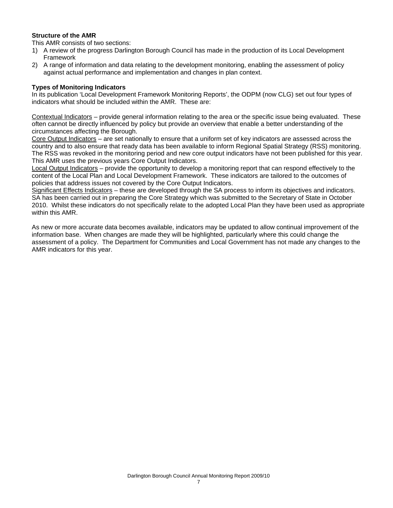# **Structure of the AMR**

This AMR consists of two sections:

- 1) A review of the progress Darlington Borough Council has made in the production of its Local Development Framework
- 2) A range of information and data relating to the development monitoring, enabling the assessment of policy against actual performance and implementation and changes in plan context.

#### **Types of Monitoring Indicators**

In its publication 'Local Development Framework Monitoring Reports', the ODPM (now CLG) set out four types of indicators what should be included within the AMR. These are:

Contextual Indicators – provide general information relating to the area or the specific issue being evaluated. These often cannot be directly influenced by policy but provide an overview that enable a better understanding of the circumstances affecting the Borough.

Core Output Indicators – are set nationally to ensure that a uniform set of key indicators are assessed across the country and to also ensure that ready data has been available to inform Regional Spatial Strategy (RSS) monitoring. The RSS was revoked in the monitoring period and new core output indicators have not been published for this year. This AMR uses the previous years Core Output Indicators.

Local Output Indicators – provide the opportunity to develop a monitoring report that can respond effectively to the content of the Local Plan and Local Development Framework. These indicators are tailored to the outcomes of policies that address issues not covered by the Core Output Indicators.

Significant Effects Indicators – these are developed through the SA process to inform its objectives and indicators. SA has been carried out in preparing the Core Strategy which was submitted to the Secretary of State in October 2010. Whilst these indicators do not specifically relate to the adopted Local Plan they have been used as appropriate within this AMR.

As new or more accurate data becomes available, indicators may be updated to allow continual improvement of the information base. When changes are made they will be highlighted, particularly where this could change the assessment of a policy. The Department for Communities and Local Government has not made any changes to the AMR indicators for this year.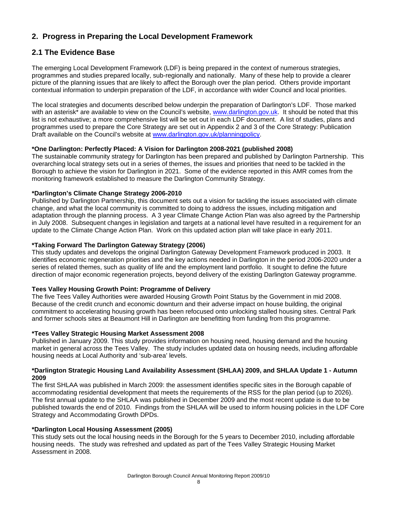# **2. Progress in Preparing the Local Development Framework**

# **2.1 The Evidence Base**

The emerging Local Development Framework (LDF) is being prepared in the context of numerous strategies, programmes and studies prepared locally, sub-regionally and nationally. Many of these help to provide a clearer picture of the planning issues that are likely to affect the Borough over the plan period. Others provide important contextual information to underpin preparation of the LDF, in accordance with wider Council and local priorities.

The local strategies and documents described below underpin the preparation of Darlington's LDF. Those marked with an asterisk<sup>\*</sup> are available to view on the Council's website, [www.darlington.gov.uk.](http://www.darlington.gov.uk/) It should be noted that this list is not exhaustive; a more comprehensive list will be set out in each LDF document. A list of studies, plans and programmes used to prepare the Core Strategy are set out in Appendix 2 and 3 of the Core Strategy: Publication Draft available on the Council's website at [www.darlington.gov.uk/planningpolicy.](http://www.darlington.gov.uk/planningpolicy)

# **\*One Darlington: Perfectly Placed: A Vision for Darlington 2008-2021 (published 2008)**

The sustainable community strategy for Darlington has been prepared and published by Darlington Partnership. This overarching local strategy sets out in a series of themes, the issues and priorities that need to be tackled in the Borough to achieve the vision for Darlington in 2021. Some of the evidence reported in this AMR comes from the monitoring framework established to measure the Darlington Community Strategy.

# **\*Darlington's Climate Change Strategy 2006-2010**

Published by Darlington Partnership, this document sets out a vision for tackling the issues associated with climate change, and what the local community is committed to doing to address the issues, including mitigation and adaptation through the planning process. A 3 year Climate Change Action Plan was also agreed by the Partnership in July 2008. Subsequent changes in legislation and targets at a national level have resulted in a requirement for an update to the Climate Change Action Plan. Work on this updated action plan will take place in early 2011.

# **\*Taking Forward The Darlington Gateway Strategy (2006)**

This study updates and develops the original Darlington Gateway Development Framework produced in 2003. It identifies economic regeneration priorities and the key actions needed in Darlington in the period 2006-2020 under a series of related themes, such as quality of life and the employment land portfolio. It sought to define the future direction of major economic regeneration projects, beyond delivery of the existing Darlington Gateway programme.

# **Tees Valley Housing Growth Point: Programme of Delivery**

The five Tees Valley Authorities were awarded Housing Growth Point Status by the Government in mid 2008. Because of the credit crunch and economic downturn and their adverse impact on house building, the original commitment to accelerating housing growth has been refocused onto unlocking stalled housing sites. Central Park and former schools sites at Beaumont Hill in Darlington are benefitting from funding from this programme.

# **\*Tees Valley Strategic Housing Market Assessment 2008**

Published in January 2009. This study provides information on housing need, housing demand and the housing market in general across the Tees Valley. The study includes updated data on housing needs, including affordable housing needs at Local Authority and 'sub-area' levels.

#### **\*Darlington Strategic Housing Land Availability Assessment (SHLAA) 2009, and SHLAA Update 1 - Autumn 2009**

The first SHLAA was published in March 2009: the assessment identifies specific sites in the Borough capable of accommodating residential development that meets the requirements of the RSS for the plan period (up to 2026). The first annual update to the SHLAA was published in December 2009 and the most recent update is due to be published towards the end of 2010. Findings from the SHLAA will be used to inform housing policies in the LDF Core Strategy and Accommodating Growth DPDs.

# **\*Darlington Local Housing Assessment (2005)**

This study sets out the local housing needs in the Borough for the 5 years to December 2010, including affordable housing needs. The study was refreshed and updated as part of the Tees Valley Strategic Housing Market Assessment in 2008.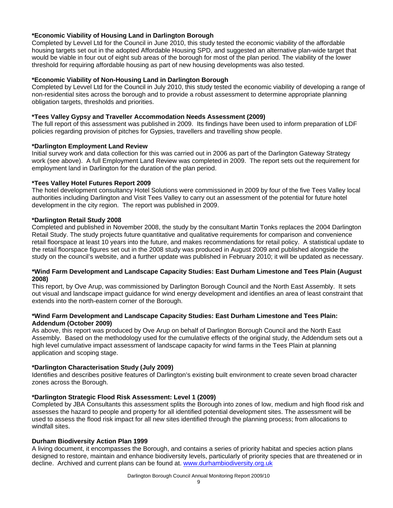# **\*Economic Viability of Housing Land in Darlington Borough**

Completed by Levvel Ltd for the Council in June 2010, this study tested the economic viability of the affordable housing targets set out in the adopted Affordable Housing SPD, and suggested an alternative plan-wide target that would be viable in four out of eight sub areas of the borough for most of the plan period. The viability of the lower threshold for requiring affordable housing as part of new housing developments was also tested.

#### **\*Economic Viability of Non-Housing Land in Darlington Borough**

Completed by Levvel Ltd for the Council in July 2010, this study tested the economic viability of developing a range of non-residential sites across the borough and to provide a robust assessment to determine appropriate planning obligation targets, thresholds and priorities.

#### **\*Tees Valley Gypsy and Traveller Accommodation Needs Assessment (2009)**

The full report of this assessment was published in 2009. Its findings have been used to inform preparation of LDF policies regarding provision of pitches for Gypsies, travellers and travelling show people.

#### **\*Darlington Employment Land Review**

Initial survey work and data collection for this was carried out in 2006 as part of the Darlington Gateway Strategy work (see above). A full Employment Land Review was completed in 2009. The report sets out the requirement for employment land in Darlington for the duration of the plan period.

### **\*Tees Valley Hotel Futures Report 2009**

The hotel development consultancy Hotel Solutions were commissioned in 2009 by four of the five Tees Valley local authorities including Darlington and Visit Tees Valley to carry out an assessment of the potential for future hotel development in the city region. The report was published in 2009.

### **\*Darlington Retail Study 2008**

Completed and published in November 2008, the study by the consultant Martin Tonks replaces the 2004 Darlington Retail Study. The study projects future quantitative and qualitative requirements for comparison and convenience retail floorspace at least 10 years into the future, and makes recommendations for retail policy. A statistical update to the retail floorspace figures set out in the 2008 study was produced in August 2009 and published alongside the study on the council's website, and a further update was published in February 2010; it will be updated as necessary.

## **\*Wind Farm Development and Landscape Capacity Studies: East Durham Limestone and Tees Plain (August 2008)**

This report, by Ove Arup, was commissioned by Darlington Borough Council and the North East Assembly. It sets out visual and landscape impact guidance for wind energy development and identifies an area of least constraint that extends into the north-eastern corner of the Borough.

### **\*Wind Farm Development and Landscape Capacity Studies: East Durham Limestone and Tees Plain: Addendum (October 2009)**

As above, this report was produced by Ove Arup on behalf of Darlington Borough Council and the North East Assembly. Based on the methodology used for the cumulative effects of the original study, the Addendum sets out a high level cumulative impact assessment of landscape capacity for wind farms in the Tees Plain at planning application and scoping stage.

#### **\*Darlington Characterisation Study (July 2009)**

Identifies and describes positive features of Darlington's existing built environment to create seven broad character zones across the Borough.

# **\*Darlington Strategic Flood Risk Assessment: Level 1 (2009)**

Completed by JBA Consultants this assessment splits the Borough into zones of low, medium and high flood risk and assesses the hazard to people and property for all identified potential development sites. The assessment will be used to assess the flood risk impact for all new sites identified through the planning process; from allocations to windfall sites.

# **Durham Biodiversity Action Plan 1999**

A living document, it encompasses the Borough, and contains a series of priority habitat and species action plans designed to restore, maintain and enhance biodiversity levels, particularly of priority species that are threatened or in decline. Archived and current plans can be found at. [www.durhambiodiversity.org.uk](http://www.durhambiodiversity.org.uk/)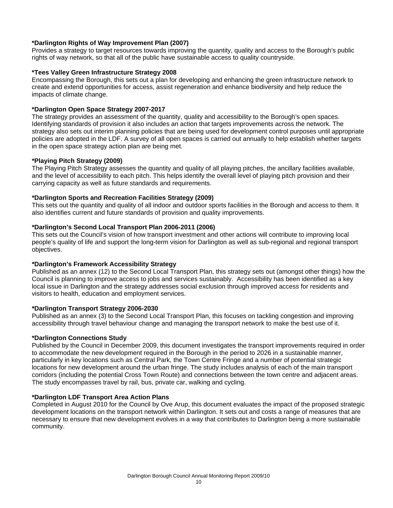## **\*Darlington Rights of Way Improvement Plan (2007)**

Provides a strategy to target resources towards improving the quantity, quality and access to the Borough's public rights of way network, so that all of the public have sustainable access to quality countryside.

#### **\*Tees Valley Green Infrastructure Strategy 2008**

Encompassing the Borough, this sets out a plan for developing and enhancing the green infrastructure network to create and extend opportunities for access, assist regeneration and enhance biodiversity and help reduce the impacts of climate change.

### **\*Darlington Open Space Strategy 2007-2017**

The strategy provides an assessment of the quantity, quality and accessibility to the Borough's open spaces. Identifying standards of provision it also includes an action that targets improvements across the network. The strategy also sets out interim planning policies that are being used for development control purposes until appropriate policies are adopted in the LDF. A survey of all open spaces is carried out annually to help establish whether targets in the open space strategy action plan are being met.

#### **\*Playing Pitch Strategy (2009)**

The Playing Pitch Strategy assesses the quantity and quality of all playing pitches, the ancillary facilities available, and the level of accessibility to each pitch. This helps identify the overall level of playing pitch provision and their carrying capacity as well as future standards and requirements.

### **\*Darlington Sports and Recreation Facilities Strategy (2009)**

This sets out the quantity and quality of all indoor and outdoor sports facilities in the Borough and access to them. It also identifies current and future standards of provision and quality improvements.

### **\*Darlington's Second Local Transport Plan 2006-2011 (2006)**

This sets out the Council's vision of how transport investment and other actions will contribute to improving local people's quality of life and support the long-term vision for Darlington as well as sub-regional and regional transport objectives.

# **\*Darlington's Framework Accessibility Strategy**

Published as an annex (12) to the Second Local Transport Plan, this strategy sets out (amongst other things) how the Council is planning to improve access to jobs and services sustainably. Accessibility has been identified as a key local issue in Darlington and the strategy addresses social exclusion through improved access for residents and visitors to health, education and employment services.

#### **\*Darlington Transport Strategy 2006-2030**

Published as an annex (3) to the Second Local Transport Plan, this focuses on tackling congestion and improving accessibility through travel behaviour change and managing the transport network to make the best use of it.

#### **\*Darlington Connections Study**

Published by the Council in December 2009, this document investigates the transport improvements required in order to accommodate the new development required in the Borough in the period to 2026 in a sustainable manner, particularly in key locations such as Central Park, the Town Centre Fringe and a number of potential strategic locations for new development around the urban fringe. The study includes analysis of each of the main transport corridors (including the potential Cross Town Route) and connections between the town centre and adjacent areas. The study encompasses travel by rail, bus, private car, walking and cycling.

#### **\*Darlington LDF Transport Area Action Plans**

Completed in August 2010 for the Council by Ove Arup, this document evaluates the impact of the proposed strategic development locations on the transport network within Darlington. It sets out and costs a range of measures that are necessary to ensure that new development evolves in a way that contributes to Darlington being a more sustainable community.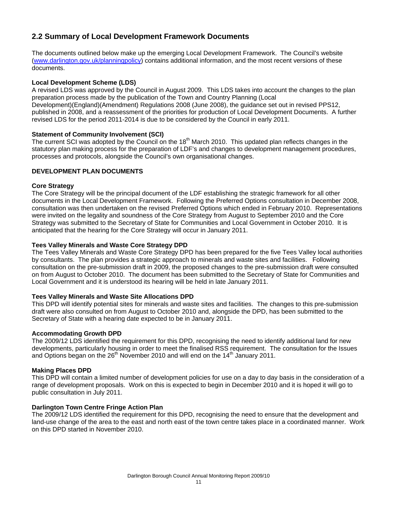# **2.2 Summary of Local Development Framework Documents**

The documents outlined below make up the emerging Local Development Framework. The Council's website ([www.darlington.gov.uk/planningpolicy\)](http://www.darlington.gov.uk/planningpolicy) contains additional information, and the most recent versions of these documents.

#### **Local Development Scheme (LDS)**

A revised LDS was approved by the Council in August 2009. This LDS takes into account the changes to the plan preparation process made by the publication of the Town and Country Planning (Local Development)(England)(Amendment) Regulations 2008 (June 2008), the guidance set out in revised PPS12, published in 2008, and a reassessment of the priorities for production of Local Development Documents. A further revised LDS for the period 2011-2014 is due to be considered by the Council in early 2011.

### **Statement of Community Involvement (SCI)**

The current SCI was adopted by the Council on the 18<sup>th</sup> March 2010. This updated plan reflects changes in the statutory plan making process for the preparation of LDF's and changes to development management procedures, processes and protocols, alongside the Council's own organisational changes.

# **DEVELOPMENT PLAN DOCUMENTS**

### **Core Strategy**

The Core Strategy will be the principal document of the LDF establishing the strategic framework for all other documents in the Local Development Framework. Following the Preferred Options consultation in December 2008, consultation was then undertaken on the revised Preferred Options which ended in February 2010. Representations were invited on the legality and soundness of the Core Strategy from August to September 2010 and the Core Strategy was submitted to the Secretary of State for Communities and Local Government in October 2010. It is anticipated that the hearing for the Core Strategy will occur in January 2011.

### **Tees Valley Minerals and Waste Core Strategy DPD**

The Tees Valley Minerals and Waste Core Strategy DPD has been prepared for the five Tees Valley local authorities by consultants. The plan provides a strategic approach to minerals and waste sites and facilities. Following consultation on the pre-submission draft in 2009, the proposed changes to the pre-submission draft were consulted on from August to October 2010. The document has been submitted to the Secretary of State for Communities and Local Government and it is understood its hearing will be held in late January 2011.

#### **Tees Valley Minerals and Waste Site Allocations DPD**

This DPD will identify potential sites for minerals and waste sites and facilities. The changes to this pre-submission draft were also consulted on from August to October 2010 and, alongside the DPD, has been submitted to the Secretary of State with a hearing date expected to be in January 2011.

#### **Accommodating Growth DPD**

The 2009/12 LDS identified the requirement for this DPD, recognising the need to identify additional land for new developments, particularly housing in order to meet the finalised RSS requirement. The consultation for the Issues and Options began on the  $26<sup>th</sup>$  November 2010 and will end on the 14<sup>th</sup> January 2011.

#### **Making Places DPD**

This DPD will contain a limited number of development policies for use on a day to day basis in the consideration of a range of development proposals. Work on this is expected to begin in December 2010 and it is hoped it will go to public consultation in July 2011.

#### **Darlington Town Centre Fringe Action Plan**

The 2009/12 LDS identified the requirement for this DPD, recognising the need to ensure that the development and land-use change of the area to the east and north east of the town centre takes place in a coordinated manner. Work on this DPD started in November 2010.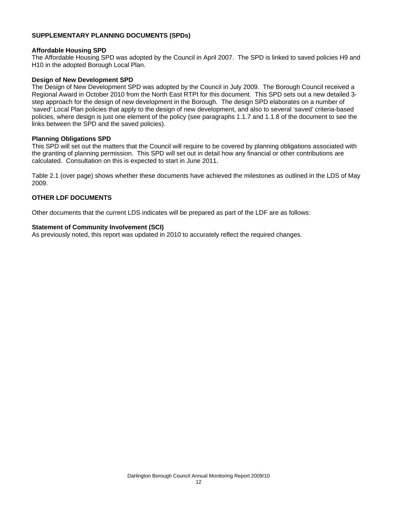# **SUPPLEMENTARY PLANNING DOCUMENTS (SPDs)**

#### **Affordable Housing SPD**

The Affordable Housing SPD was adopted by the Council in April 2007. The SPD is linked to saved policies H9 and H10 in the adopted Borough Local Plan.

#### **Design of New Development SPD**

The Design of New Development SPD was adopted by the Council in July 2009. The Borough Council received a Regional Award in October 2010 from the North East RTPI for this document. This SPD sets out a new detailed 3 step approach for the design of new development in the Borough. The design SPD elaborates on a number of 'saved' Local Plan policies that apply to the design of new development, and also to several 'saved' criteria-based policies, where design is just one element of the policy (see paragraphs 1.1.7 and 1.1.8 of the document to see the links between the SPD and the saved policies).

#### **Planning Obligations SPD**

This SPD will set out the matters that the Council will require to be covered by planning obligations associated with the granting of planning permission. This SPD will set out in detail how any financial or other contributions are calculated. Consultation on this is expected to start in June 2011.

Table 2.1 (over page) shows whether these documents have achieved the milestones as outlined in the LDS of May 2009.

#### **OTHER LDF DOCUMENTS**

Other documents that the current LDS indicates will be prepared as part of the LDF are as follows:

#### **Statement of Community Involvement (SCI)**

As previously noted, this report was updated in 2010 to accurately reflect the required changes.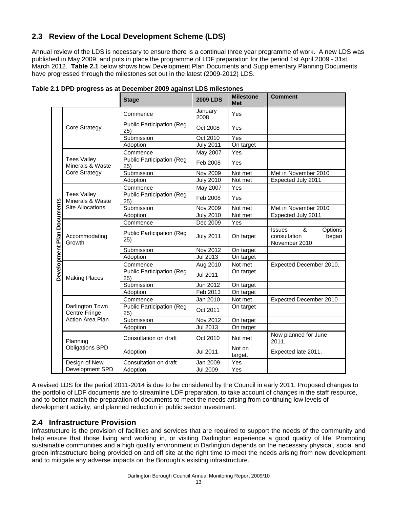# **2.3 Review of the Local Development Scheme (LDS)**

Annual review of the LDS is necessary to ensure there is a continual three year programme of work. A new LDS was published in May 2009, and puts in place the programme of LDF preparation for the period 1st April 2009 - 31st March 2012. **Table 2.1** below shows how Development Plan Documents and Supplementary Planning Documents have progressed through the milestones set out in the latest (2009-2012) LDS.

|                  |                                        | <b>Stage</b>                            | <b>2009 LDS</b>  | <b>Milestone</b><br><b>Met</b> | <b>Comment</b>                                                          |
|------------------|----------------------------------------|-----------------------------------------|------------------|--------------------------------|-------------------------------------------------------------------------|
|                  |                                        | Commence                                | January<br>2008  | Yes                            |                                                                         |
|                  | <b>Core Strategy</b>                   | <b>Public Participation (Reg</b><br>25) | Oct 2008         | Yes                            |                                                                         |
|                  |                                        | Submission                              | Oct 2010         | Yes                            |                                                                         |
|                  |                                        | Adoption                                | <b>July 2011</b> | On target                      |                                                                         |
|                  |                                        | Commence                                | May 2007         | Yes                            |                                                                         |
|                  | <b>Tees Valley</b><br>Minerals & Waste | <b>Public Participation (Reg</b><br>25) | Feb 2008         | Yes                            |                                                                         |
|                  | Core Strategy                          | Submission                              | Nov 2009         | Not met                        | Met in November 2010                                                    |
|                  |                                        | Adoption                                | <b>July 2010</b> | Not met                        | Expected July 2011                                                      |
|                  |                                        | Commence                                | May 2007         | Yes                            |                                                                         |
|                  | <b>Tees Valley</b><br>Minerals & Waste | <b>Public Participation (Reg</b><br>25) | Feb 2008         | Yes                            |                                                                         |
|                  | <b>Site Allocations</b>                | Submission                              | <b>Nov 2009</b>  | Not met                        | Met in November 2010                                                    |
| <b>Documents</b> |                                        | Adoption                                | <b>July 2010</b> | Not met                        | Expected July 2011                                                      |
|                  |                                        | Commence                                | Dec 2009         | Yes                            |                                                                         |
| Development Plan | Accommodating<br>Growth                | <b>Public Participation (Reg</b><br>25) | <b>July 2011</b> | On target                      | &<br>Options<br><b>Issues</b><br>consultation<br>began<br>November 2010 |
|                  |                                        | Submission                              | <b>Nov 2012</b>  | On target                      |                                                                         |
|                  |                                        | Adoption                                | <b>Jul 2013</b>  | On target                      |                                                                         |
|                  |                                        | Commence                                | Aug 2010         | Not met                        | Expected December 2010.                                                 |
|                  | <b>Making Places</b>                   | <b>Public Participation (Reg</b><br>25) | <b>Jul 2011</b>  | On target                      |                                                                         |
|                  |                                        | Submission                              | Jun 2012         | On target                      |                                                                         |
|                  |                                        | Adoption                                | Feb 2013         | On target                      |                                                                         |
|                  |                                        | Commence                                | Jan 2010         | Not met                        | Expected December 2010                                                  |
|                  | Darlington Town<br>Centre Fringe       | <b>Public Participation (Reg</b><br>25) | Oct 2011         | On target                      |                                                                         |
|                  | Action Area Plan                       | Submission                              | Nov 2012         | On target                      |                                                                         |
|                  |                                        | Adoption                                | Jul 2013         | On target                      |                                                                         |
|                  | Planning                               | Consultation on draft                   | Oct 2010         | Not met                        | Now planned for June<br>2011.                                           |
|                  | <b>Obligations SPD</b>                 | Adoption                                | Jul 2011         | Not on<br>target.              | Expected late 2011.                                                     |
|                  | Design of New                          | Consultation on draft                   | Jan 2009         | Yes                            |                                                                         |
|                  | Development SPD                        | Adoption                                | <b>Jul 2009</b>  | Yes                            |                                                                         |

**Table 2.1 DPD progress as at December 2009 against LDS milestones** 

A revised LDS for the period 2011-2014 is due to be considered by the Council in early 2011. Proposed changes to the portfolio of LDF documents are to streamline LDF preparation, to take account of changes in the staff resource, and to better match the preparation of documents to meet the needs arising from continuing low levels of development activity, and planned reduction in public sector investment.

# **2.4 Infrastructure Provision**

Infrastructure is the provision of facilities and services that are required to support the needs of the community and help ensure that those living and working in, or visiting Darlington experience a good quality of life. Promoting sustainable communities and a high quality environment in Darlington depends on the necessary physical, social and green infrastructure being provided on and off site at the right time to meet the needs arising from new development and to mitigate any adverse impacts on the Borough's existing infrastructure.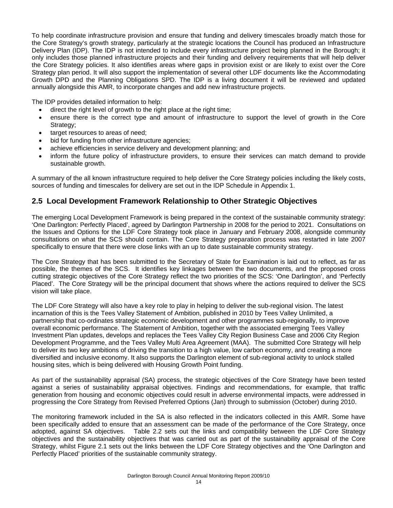To help coordinate infrastructure provision and ensure that funding and delivery timescales broadly match those for the Core Strategy's growth strategy, particularly at the strategic locations the Council has produced an Infrastructure Delivery Plan (IDP). The IDP is not intended to include every infrastructure project being planned in the Borough; it only includes those planned infrastructure projects and their funding and delivery requirements that will help deliver the Core Strategy policies. It also identifies areas where gaps in provision exist or are likely to exist over the Core Strategy plan period. It will also support the implementation of several other LDF documents like the Accommodating Growth DPD and the Planning Obligations SPD. The IDP is a living document it will be reviewed and updated annually alongside this AMR, to incorporate changes and add new infrastructure projects.

The IDP provides detailed information to help:

- direct the right level of growth to the right place at the right time;
- ensure there is the correct type and amount of infrastructure to support the level of growth in the Core Strategy;
- target resources to areas of need;
- bid for funding from other infrastructure agencies;
- achieve efficiencies in service delivery and development planning; and
- inform the future policy of infrastructure providers, to ensure their services can match demand to provide sustainable growth.

A summary of the all known infrastructure required to help deliver the Core Strategy policies including the likely costs, sources of funding and timescales for delivery are set out in the IDP Schedule in Appendix 1.

# **2.5 Local Development Framework Relationship to Other Strategic Objectives**

The emerging Local Development Framework is being prepared in the context of the sustainable community strategy: 'One Darlington: Perfectly Placed', agreed by Darlington Partnership in 2008 for the period to 2021. Consultations on the Issues and Options for the LDF Core Strategy took place in January and February 2008, alongside community consultations on what the SCS should contain. The Core Strategy preparation process was restarted in late 2007 specifically to ensure that there were close links with an up to date sustainable community strategy.

The Core Strategy that has been submitted to the Secretary of State for Examination is laid out to reflect, as far as possible, the themes of the SCS. It identifies key linkages between the two documents, and the proposed cross cutting strategic objectives of the Core Strategy reflect the two priorities of the SCS: 'One Darlington', and 'Perfectly Placed'. The Core Strategy will be the principal document that shows where the actions required to deliver the SCS vision will take place.

The LDF Core Strategy will also have a key role to play in helping to deliver the sub-regional vision. The latest incarnation of this is the Tees Valley Statement of Ambition, published in 2010 by Tees Valley Unlimited, a partnership that co-ordinates strategic economic development and other programmes sub-regionally, to improve overall economic performance. The Statement of Ambition, together with the associated emerging Tees Valley Investment Plan updates, develops and replaces the Tees Valley City Region Business Case and 2006 City Region Development Programme, and the Tees Valley Multi Area Agreement (MAA). The submitted Core Strategy will help to deliver its two key ambitions of driving the transition to a high value, low carbon economy, and creating a more diversified and inclusive economy. It also supports the Darlington element of sub-regional activity to unlock stalled housing sites, which is being delivered with Housing Growth Point funding.

As part of the sustainability appraisal (SA) process, the strategic objectives of the Core Strategy have been tested against a series of sustainability appraisal objectives. Findings and recommendations, for example, that traffic generation from housing and economic objectives could result in adverse environmental impacts, were addressed in progressing the Core Strategy from Revised Preferred Options (Jan) through to submission (October) during 2010.

The monitoring framework included in the SA is also reflected in the indicators collected in this AMR. Some have been specifically added to ensure that an assessment can be made of the performance of the Core Strategy, once adopted, against SA objectives. Table 2.2 sets out the links and compatibility between the LDF Core Strategy objectives and the sustainability objectives that was carried out as part of the sustainability appraisal of the Core Strategy, whilst Figure 2.1 sets out the links between the LDF Core Strategy objectives and the 'One Darlington and Perfectly Placed' priorities of the sustainable community strategy.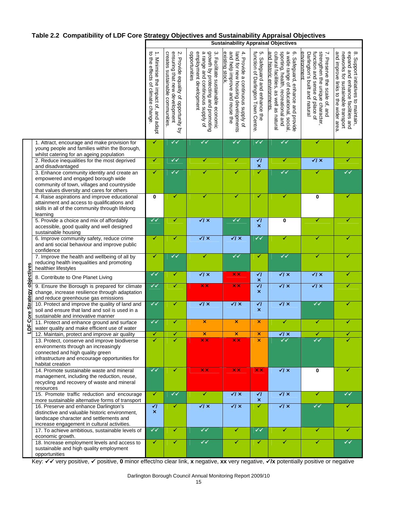# **Table 2.2 Compatibility of LDF Core Strategy Objectives and Sustainability Appraisal Objectives**

|                          |                                                                                                                                                                                                     | <b>Sustainability Appraisal Objectives</b>                               |                                                                                                           |                                                                                                                                                         |                                                                                                                            |                                                                       |                                                                                                                                                                                             |                                                                                                                                                      |                                                                                                                                                       |
|--------------------------|-----------------------------------------------------------------------------------------------------------------------------------------------------------------------------------------------------|--------------------------------------------------------------------------|-----------------------------------------------------------------------------------------------------------|---------------------------------------------------------------------------------------------------------------------------------------------------------|----------------------------------------------------------------------------------------------------------------------------|-----------------------------------------------------------------------|---------------------------------------------------------------------------------------------------------------------------------------------------------------------------------------------|------------------------------------------------------------------------------------------------------------------------------------------------------|-------------------------------------------------------------------------------------------------------------------------------------------------------|
|                          |                                                                                                                                                                                                     | to the effects of climate change<br>1. Minimise the impact of, and adapt | creates sustainable communities<br>ensuring that new development<br>2. Provide equality of opportunity by | employment development<br>a range and continuous supply of<br>growth by protecting and promoting<br>opportunities<br>3. Facilitate sustainable economic | and help improve and reuse the<br>existing stock<br>4. Provide a continuous supply of<br>land for new housing developments | ฺጣ<br>function of Darlington Town Centre<br>Safeguard and enhance the | and historic environments<br>cultural facilities, as well as natural<br>sporting, health, recreational and<br>a wide range of educational, social,<br>္စာ<br>Safeguard, enhance and provide | strengthen the unique character,<br>function and sense of place of<br>environment<br>Darlington's built and natural<br>7. Preserve the scale of, and | and improve links to the wider area<br>expand and enhance facilities and<br>8. Support initiatives to maintain,<br>networks for sustainable transport |
|                          | 1. Attract, encourage and make provision for<br>young people and families within the Borough,<br>whilst catering for an ageing population                                                           | ✔                                                                        | $\checkmark$                                                                                              | $\checkmark$                                                                                                                                            | ✓√                                                                                                                         | $\checkmark$                                                          | $\checkmark$                                                                                                                                                                                | ✓                                                                                                                                                    | ✔                                                                                                                                                     |
|                          | 2. Reduce inequalities for the most deprived                                                                                                                                                        | ✔                                                                        | ✓✓                                                                                                        | ✔                                                                                                                                                       | ✔                                                                                                                          | $\overline{\mathcal{U}}$<br>$\pmb{\times}$                            | ✓                                                                                                                                                                                           | $\sqrt{x}$                                                                                                                                           | ✔                                                                                                                                                     |
|                          | and disadvantaged<br>3. Enhance community identity and create an<br>empowered and engaged borough wide<br>community of town, villages and countryside<br>that values diversity and cares for others | $\blacktriangledown$                                                     | $\checkmark$                                                                                              | ✓                                                                                                                                                       | ✓                                                                                                                          | ✓                                                                     | $\checkmark$                                                                                                                                                                                | ✓                                                                                                                                                    | ✓✓                                                                                                                                                    |
|                          | 4. Raise aspirations and improve educational<br>attainment and access to qualifications and<br>skills in all of the community through lifelong<br>learning                                          | 0                                                                        | ✔                                                                                                         | ✔                                                                                                                                                       | ✔                                                                                                                          | ✔                                                                     | ✔                                                                                                                                                                                           | 0                                                                                                                                                    | ✔                                                                                                                                                     |
|                          | 5. Provide a choice and mix of affordably<br>accessible, good quality and well designed<br>sustainable housing                                                                                      | ✓✓                                                                       | ✔                                                                                                         | $\sqrt{1}$ x                                                                                                                                            | ✔✔                                                                                                                         | $\overline{\mathcal{U}}$<br>$\boldsymbol{\mathsf{x}}$                 | $\mathbf 0$                                                                                                                                                                                 | ✔                                                                                                                                                    | ✓                                                                                                                                                     |
|                          | 6. Improve community safety, reduce crime<br>and anti social behaviour and improve public<br>confidence                                                                                             | ✔                                                                        | ✔                                                                                                         | $\sqrt{1}x$                                                                                                                                             | $\sqrt{x}$                                                                                                                 | $\checkmark$                                                          | ✔                                                                                                                                                                                           | ✔                                                                                                                                                    |                                                                                                                                                       |
|                          | 7. Improve the health and wellbeing of all by<br>reducing health inequalities and promoting<br>healthier lifestyles                                                                                 | ✔                                                                        | ✓✓                                                                                                        | ✔                                                                                                                                                       | $\checkmark$                                                                                                               | ✔                                                                     | $\checkmark$                                                                                                                                                                                | ✔                                                                                                                                                    | ✔                                                                                                                                                     |
|                          | 8. Contribute to One Planet Living                                                                                                                                                                  | $\checkmark$                                                             | ✓                                                                                                         | $\sqrt{ \mathsf{x} }$                                                                                                                                   | $\times$ $\times$                                                                                                          | $\overline{\mathcal{C}}$<br>$\pmb{\times}$                            | $\sqrt{1}x$                                                                                                                                                                                 | $\sqrt{ \mathsf{x} }$                                                                                                                                | ✔                                                                                                                                                     |
| Core Strategy objectives | 9. Ensure the Borough is prepared for climate<br>change, increase resilience through adaptation<br>and reduce greenhouse gas emissions                                                              | $\checkmark$                                                             | ✔                                                                                                         | $\times$ $\times$                                                                                                                                       | $\times$ $\times$                                                                                                          | $\overline{\mathcal{U}}$<br>$\boldsymbol{\mathsf{x}}$                 | $\sqrt{1}x$                                                                                                                                                                                 | $\sqrt{ \mathsf{x} }$                                                                                                                                |                                                                                                                                                       |
|                          | 10. Protect and improve the quality of land and<br>soil and ensure that land and soil is used in a<br>sustainable and innovative manner                                                             | $\checkmark$                                                             | ✔                                                                                                         | $\sqrt{1}$ $\times$                                                                                                                                     | $\sqrt{1}$ $\times$                                                                                                        | $\overline{\mathcal{C}}$<br>×                                         | $\sqrt{1}x$                                                                                                                                                                                 | $\checkmark$                                                                                                                                         | ✔                                                                                                                                                     |
| п                        | 11. Protect and enhance ground and surface<br>water quality and make efficient use of water                                                                                                         | ✓✓                                                                       | ✔                                                                                                         | ×                                                                                                                                                       | $\boldsymbol{\mathsf{x}}$                                                                                                  | $\boldsymbol{\mathsf{x}}$                                             | ✔                                                                                                                                                                                           | ✔                                                                                                                                                    | ✓                                                                                                                                                     |
|                          | 12. Maintain, protect and improve air quality                                                                                                                                                       | ✔                                                                        | ✔                                                                                                         | ×                                                                                                                                                       | ×                                                                                                                          | $\boldsymbol{\mathsf{x}}$                                             | $\sqrt{1}$ $\times$                                                                                                                                                                         | ✔                                                                                                                                                    | ✔                                                                                                                                                     |
|                          | 13. Protect, conserve and improve biodiverse<br>environments through an increasingly<br>connected and high quality green<br>infrastructure and encourage opportunities for<br>habitat creation      | ✓                                                                        | ✔                                                                                                         | $\overline{\mathbf{x}}$ $\overline{\mathbf{x}}$                                                                                                         | $\overline{\mathbf{x}}$ $\overline{\mathbf{x}}$                                                                            | $\overline{\mathsf{x}}$                                               | $\checkmark$                                                                                                                                                                                | $\checkmark$                                                                                                                                         |                                                                                                                                                       |
|                          | 14. Promote sustainable waste and mineral<br>management, including the reduction, reuse,<br>recycling and recovery of waste and mineral<br>resources                                                | $\checkmark$                                                             | ✔                                                                                                         | $\times$ $\times$                                                                                                                                       | <b>XX</b>                                                                                                                  | $\overline{\mathbf{x}}$ $\overline{\mathbf{x}}$                       | $\sqrt{x}$                                                                                                                                                                                  | $\bf{0}$                                                                                                                                             | ✔                                                                                                                                                     |
|                          | 15. Promote traffic reduction and encourage<br>more sustainable alternative forms of transport                                                                                                      | ✔                                                                        | $\checkmark$                                                                                              | ✔                                                                                                                                                       | $\sqrt{x}$                                                                                                                 | $\checkmark$<br>×                                                     | $\sqrt{ \mathsf{x} }$                                                                                                                                                                       | ✓                                                                                                                                                    | ✔✔                                                                                                                                                    |
|                          | 16. Preserve and enhance Darlington's<br>distinctive and valuable historic environment,<br>landscape character and settlements and<br>increase engagement in cultural activities.                   | $\overline{\blacktriangleleft}$<br>$\boldsymbol{\times}$                 | ✔                                                                                                         | $\sqrt{X}$                                                                                                                                              | $\sqrt{x}$                                                                                                                 | ✔                                                                     | $\sqrt{1}x$                                                                                                                                                                                 | $\checkmark$                                                                                                                                         | ✔                                                                                                                                                     |
|                          | 17. To achieve ambitious, sustainable levels of<br>economic growth.                                                                                                                                 | ✔✔                                                                       | ✓                                                                                                         | $\checkmark$                                                                                                                                            | ✓                                                                                                                          | $\checkmark$                                                          | ✓                                                                                                                                                                                           | ✓                                                                                                                                                    | ✔                                                                                                                                                     |
|                          | 18. Increase employment levels and access to<br>sustainable and high quality employment<br>opportunities                                                                                            | ✔                                                                        | ✔                                                                                                         | $\checkmark$                                                                                                                                            | ✔                                                                                                                          | ✔                                                                     | ✔                                                                                                                                                                                           | ✔                                                                                                                                                    | ✓✓                                                                                                                                                    |
|                          | Key: V very positive, V positive, 0 minor effect/no clear link, x negative, xx very negative, V/x potentially positive or negative                                                                  |                                                                          |                                                                                                           |                                                                                                                                                         |                                                                                                                            |                                                                       |                                                                                                                                                                                             |                                                                                                                                                      |                                                                                                                                                       |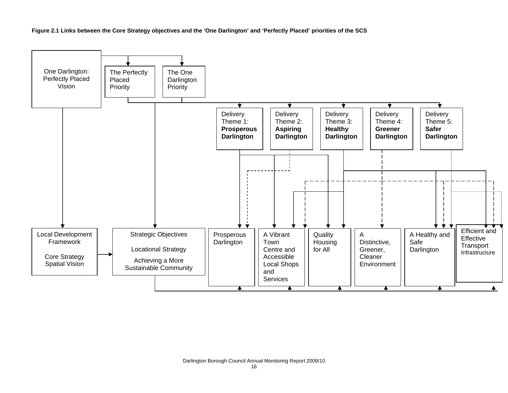**Figure 2.1 Links between the Core Strategy objectives and the 'One Darlington' and 'Perfectly Placed' priorities of the SCS** 

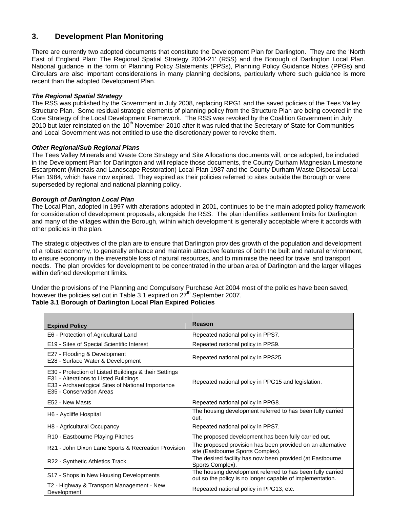# **3. Development Plan Monitoring**

There are currently two adopted documents that constitute the Development Plan for Darlington. They are the 'North East of England Plan: The Regional Spatial Strategy 2004-21' (RSS) and the Borough of Darlington Local Plan. National guidance in the form of Planning Policy Statements (PPSs), Planning Policy Guidance Notes (PPGs) and Circulars are also important considerations in many planning decisions, particularly where such guidance is more recent than the adopted Development Plan.

## *The Regional Spatial Strategy*

The RSS was published by the Government in July 2008, replacing RPG1 and the saved policies of the Tees Valley Structure Plan. Some residual strategic elements of planning policy from the Structure Plan are being covered in the Core Strategy of the Local Development Framework. The RSS was revoked by the Coalition Government in July 2010 but later reinstated on the 10<sup>th</sup> November 2010 after it was ruled that the Secretary of State for Communities and Local Government was not entitled to use the discretionary power to revoke them.

### *Other Regional/Sub Regional Plans*

The Tees Valley Minerals and Waste Core Strategy and Site Allocations documents will, once adopted, be included in the Development Plan for Darlington and will replace those documents, the County Durham Magnesian Limestone Escarpment (Minerals and Landscape Restoration) Local Plan 1987 and the County Durham Waste Disposal Local Plan 1984, which have now expired. They expired as their policies referred to sites outside the Borough or were superseded by regional and national planning policy.

### *Borough of Darlington Local Plan*

The Local Plan, adopted in 1997 with alterations adopted in 2001, continues to be the main adopted policy framework for consideration of development proposals, alongside the RSS. The plan identifies settlement limits for Darlington and many of the villages within the Borough, within which development is generally acceptable where it accords with other policies in the plan.

The strategic objectives of the plan are to ensure that Darlington provides growth of the population and development of a robust economy, to generally enhance and maintain attractive features of both the built and natural environment, to ensure economy in the irreversible loss of natural resources, and to minimise the need for travel and transport needs. The plan provides for development to be concentrated in the urban area of Darlington and the larger villages within defined development limits.

Under the provisions of the Planning and Compulsory Purchase Act 2004 most of the policies have been saved, however the policies set out in Table 3.1 expired on  $27<sup>th</sup>$  September 2007.

#### **Table 3.1 Borough of Darlington Local Plan Expired Policies**

| <b>Expired Policy</b>                                                                                                                                                           | Reason                                                                                                                  |
|---------------------------------------------------------------------------------------------------------------------------------------------------------------------------------|-------------------------------------------------------------------------------------------------------------------------|
| E6 - Protection of Agricultural Land                                                                                                                                            | Repeated national policy in PPS7.                                                                                       |
| E19 - Sites of Special Scientific Interest                                                                                                                                      | Repeated national policy in PPS9.                                                                                       |
| E27 - Flooding & Development<br>E28 - Surface Water & Development                                                                                                               | Repeated national policy in PPS25.                                                                                      |
| E30 - Protection of Listed Buildings & their Settings<br>E31 - Alterations to Listed Buildings<br>E33 - Archaeological Sites of National Importance<br>E35 - Conservation Areas | Repeated national policy in PPG15 and legislation.                                                                      |
| E52 - New Masts                                                                                                                                                                 | Repeated national policy in PPG8.                                                                                       |
| H6 - Aycliffe Hospital                                                                                                                                                          | The housing development referred to has been fully carried<br>out.                                                      |
| H8 - Agricultural Occupancy                                                                                                                                                     | Repeated national policy in PPS7.                                                                                       |
| R10 - Eastbourne Playing Pitches                                                                                                                                                | The proposed development has been fully carried out.                                                                    |
| R21 - John Dixon Lane Sports & Recreation Provision                                                                                                                             | The proposed provision has been provided on an alternative<br>site (Eastbourne Sports Complex).                         |
| R22 - Synthetic Athletics Track                                                                                                                                                 | The desired facility has now been provided (at Eastbourne<br>Sports Complex).                                           |
| S17 - Shops in New Housing Developments                                                                                                                                         | The housing development referred to has been fully carried<br>out so the policy is no longer capable of implementation. |
| T2 - Highway & Transport Management - New<br>Development                                                                                                                        | Repeated national policy in PPG13, etc.                                                                                 |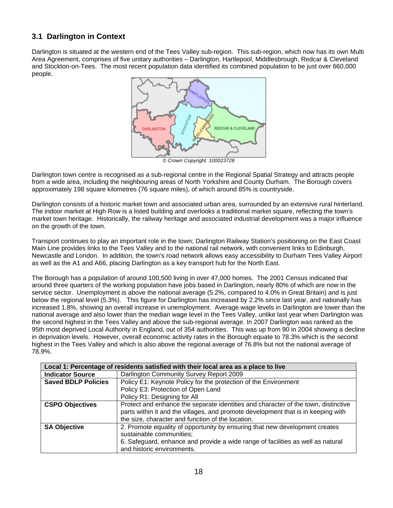# **3.1 Darlington in Context**

Darlington is situated at the western end of the Tees Valley sub-region. This sub-region, which now has its own Multi Area Agreement, comprises of five unitary authorities – Darlington, Hartlepool, Middlesbrough, Redcar & Cleveland and Stockton-on-Tees. The most recent population data identified its combined population to be just over 660,000 people.



*© Crown Copyright. 100023728*

Darlington town centre is recognised as a sub-regional centre in the Regional Spatial Strategy and attracts people from a wide area, including the neighbouring areas of North Yorkshire and County Durham. The Borough covers approximately 198 square kilometres (76 square miles), of which around 85% is countryside.

Darlington consists of a historic market town and associated urban area, surrounded by an extensive rural hinterland. The indoor market at High Row is a listed building and overlooks a traditional market square, reflecting the town's market town heritage. Historically, the railway heritage and associated industrial development was a major influence on the growth of the town.

Transport continues to play an important role in the town; Darlington Railway Station's positioning on the East Coast Main Line provides links to the Tees Valley and to the national rail network, with convenient links to Edinburgh, Newcastle and London. In addition, the town's road network allows easy accessibility to Durham Tees Valley Airport as well as the A1 and A66, placing Darlington as a key transport hub for the North East.

The Borough has a population of around 100,500 living in over 47,000 homes. The 2001 Census indicated that around three quarters of the working population have jobs based in Darlington, nearly 80% of which are now in the service sector. Unemployment is above the national average (5.2%, compared to 4.0% in Great Britain) and is just below the regional level (5.3%). This figure for Darlington has increased by 2.2% since last year, and nationally has increased 1.8%, showing an overall increase in unemployment. Average wage levels in Darlington are lower than the national average and also lower than the median wage level in the Tees Valley, unlike last year when Darlington was the second highest in the Tees Valley and above the sub-regional average. In 2007 Darlington was ranked as the 95th most deprived Local Authority in England, out of 354 authorities. This was up from 90 in 2004 showing a decline in deprivation levels. However, overall economic activity rates in the Borough equate to 78.3% which is the second highest in the Tees Valley and which is also above the regional average of 76.8% but not the national average of 78.9%.

|                            | Local 1: Percentage of residents satisfied with their local area as a place to live |  |  |
|----------------------------|-------------------------------------------------------------------------------------|--|--|
| <b>Indicator Source</b>    | Darlington Community Survey Report 2009                                             |  |  |
| <b>Saved BDLP Policies</b> | Policy E1: Keynote Policy for the protection of the Environment                     |  |  |
|                            | Policy E3: Protection of Open Land                                                  |  |  |
|                            | Policy R1: Designing for All                                                        |  |  |
| <b>CSPO Objectives</b>     | Protect and enhance the separate identities and character of the town, distinctive  |  |  |
|                            | parts within it and the villages, and promote development that is in keeping with   |  |  |
|                            | the size, character and function of the location.                                   |  |  |
| <b>SA Objective</b>        | 2. Promote equality of opportunity by ensuring that new development creates         |  |  |
|                            | sustainable communities;                                                            |  |  |
|                            | 6. Safeguard, enhance and provide a wide range of facilities as well as natural     |  |  |
|                            | and historic environments.                                                          |  |  |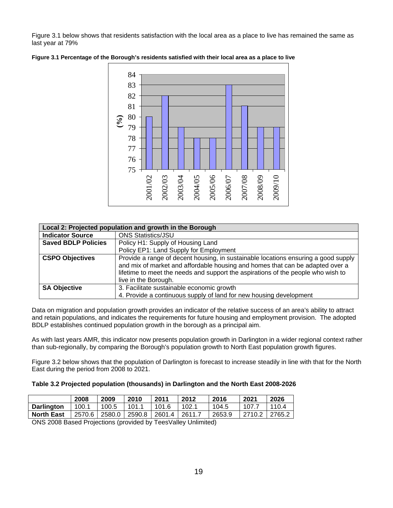Figure 3.1 below shows that residents satisfaction with the local area as a place to live has remained the same as last year at 79%



**Figure 3.1 Percentage of the Borough's residents satisfied with their local area as a place to live** 

|                            | Local 2: Projected population and growth in the Borough                                                                                                                                                                                                                         |  |  |
|----------------------------|---------------------------------------------------------------------------------------------------------------------------------------------------------------------------------------------------------------------------------------------------------------------------------|--|--|
| <b>Indicator Source</b>    | <b>ONS Statistics/JSU</b>                                                                                                                                                                                                                                                       |  |  |
| <b>Saved BDLP Policies</b> | Policy H1: Supply of Housing Land                                                                                                                                                                                                                                               |  |  |
|                            | Policy EP1: Land Supply for Employment                                                                                                                                                                                                                                          |  |  |
| <b>CSPO Objectives</b>     | Provide a range of decent housing, in sustainable locations ensuring a good supply<br>and mix of market and affordable housing and homes that can be adapted over a<br>lifetime to meet the needs and support the aspirations of the people who wish to<br>live in the Borough. |  |  |
| <b>SA Objective</b>        | 3. Facilitate sustainable economic growth<br>4. Provide a continuous supply of land for new housing development                                                                                                                                                                 |  |  |

Data on migration and population growth provides an indicator of the relative success of an area's ability to attract and retain populations, and indicates the requirements for future housing and employment provision. The adopted BDLP establishes continued population growth in the borough as a principal aim.

As with last years AMR, this indicator now presents population growth in Darlington in a wider regional context rather than sub-regionally, by comparing the Borough's population growth to North East population growth figures.

Figure 3.2 below shows that the population of Darlington is forecast to increase steadily in line with that for the North East during the period from 2008 to 2021.

#### **Table 3.2 Projected population (thousands) in Darlington and the North East 2008-2026**

|                                                               | 2008   | 2009   | 2010  | 2011                 | 2012  | 2016   | 2021   | 2026   |
|---------------------------------------------------------------|--------|--------|-------|----------------------|-------|--------|--------|--------|
| <b>Darlington</b>                                             | 100.1  | 100.5  | 101.1 | 101.6                | 102.1 | 104.5  | 107.7  | 1104   |
| <b>North East</b>                                             | 2570.6 | 2580.0 |       | 2590.8 2601.4 2611.7 |       | 2653.9 | 2710.2 | 2765.2 |
| ONS 2008 Based Projections (provided by TeasValley Unlimited) |        |        |       |                      |       |        |        |        |

ONS 2008 Based Projections (provided by TeesValley Unlimited)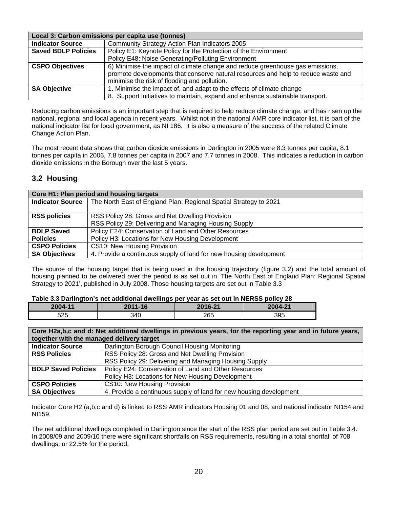|                            | Local 3: Carbon emissions per capita use (tonnes)                                 |  |  |
|----------------------------|-----------------------------------------------------------------------------------|--|--|
| <b>Indicator Source</b>    | Community Strategy Action Plan Indicators 2005                                    |  |  |
| <b>Saved BDLP Policies</b> | Policy E1: Keynote Policy for the Protection of the Environment                   |  |  |
|                            | Policy E48: Noise Generating/Polluting Environment                                |  |  |
| <b>CSPO Objectives</b>     | 6) Minimise the impact of climate change and reduce greenhouse gas emissions,     |  |  |
|                            | promote developments that conserve natural resources and help to reduce waste and |  |  |
|                            | minimise the risk of flooding and pollution.                                      |  |  |
| <b>SA Objective</b>        | 1. Minimise the impact of, and adapt to the effects of climate change             |  |  |
|                            | 8. Support initiatives to maintain, expand and enhance sustainable transport.     |  |  |

Reducing carbon emissions is an important step that is required to help reduce climate change, and has risen up the national, regional and local agenda in recent years. Whilst not in the national AMR core indicator list, it is part of the national indicator list for local government, as NI 186. It is also a measure of the success of the related Climate Change Action Plan.

The most recent data shows that carbon dioxide emissions in Darlington in 2005 were 8.3 tonnes per capita, 8.1 tonnes per capita in 2006, 7.8 tonnes per capita in 2007 and 7.7 tonnes in 2008. This indicates a reduction in carbon dioxide emissions in the Borough over the last 5 years.

# **3.2 Housing**

| Core H1: Plan period and housing targets |                                                                    |  |
|------------------------------------------|--------------------------------------------------------------------|--|
| Indicator Source                         | The North East of England Plan: Regional Spatial Strategy to 2021  |  |
|                                          |                                                                    |  |
| <b>RSS policies</b>                      | RSS Policy 28: Gross and Net Dwelling Provision                    |  |
|                                          | RSS Policy 29: Delivering and Managing Housing Supply              |  |
| <b>BDLP Saved</b>                        | Policy E24: Conservation of Land and Other Resources               |  |
| <b>Policies</b>                          | Policy H3: Locations for New Housing Development                   |  |
| <b>CSPO Policies</b>                     | CS10: New Housing Provision                                        |  |
| <b>SA Objectives</b>                     | 4. Provide a continuous supply of land for new housing development |  |

The source of the housing target that is being used in the housing trajectory (figure 3.2) and the total amount of housing planned to be delivered over the period is as set out in 'The North East of England Plan: Regional Spatial Strategy to 2021', published in July 2008. Those housing targets are set out in Table 3.3

#### **Table 3.3 Darlington's net additional dwellings per year as set out in NERSS policy 28**

| . which can be according to the commutation of the control of the control of the control of $\mathcal{L}$ |         |         |         |  |  |  |
|-----------------------------------------------------------------------------------------------------------|---------|---------|---------|--|--|--|
| 2004-11                                                                                                   | 2011-16 | 2016-21 | 2004-21 |  |  |  |
| 525                                                                                                       | 340     | 265     | 395     |  |  |  |

| Core H2a,b,c and d: Net additional dwellings in previous years, for the reporting year and in future years,<br>together with the managed delivery target |                                                                    |  |
|----------------------------------------------------------------------------------------------------------------------------------------------------------|--------------------------------------------------------------------|--|
|                                                                                                                                                          |                                                                    |  |
| <b>Indicator Source</b>                                                                                                                                  | Darlington Borough Council Housing Monitoring                      |  |
| <b>RSS Policies</b>                                                                                                                                      | RSS Policy 28: Gross and Net Dwelling Provision                    |  |
|                                                                                                                                                          | RSS Policy 29: Delivering and Managing Housing Supply              |  |
| <b>BDLP Saved Policies</b>                                                                                                                               | Policy E24: Conservation of Land and Other Resources               |  |
|                                                                                                                                                          | Policy H3: Locations for New Housing Development                   |  |
| <b>CSPO Policies</b>                                                                                                                                     | CS10: New Housing Provision                                        |  |
| <b>SA Objectives</b>                                                                                                                                     | 4. Provide a continuous supply of land for new housing development |  |

Indicator Core H2 (a,b,c and d) is linked to RSS AMR indicators Housing 01 and 08, and national indicator NI154 and NI159.

The net additional dwellings completed in Darlington since the start of the RSS plan period are set out in Table 3.4. In 2008/09 and 2009/10 there were significant shortfalls on RSS requirements, resulting in a total shortfall of 708 dwellings, or 22.5% for the period.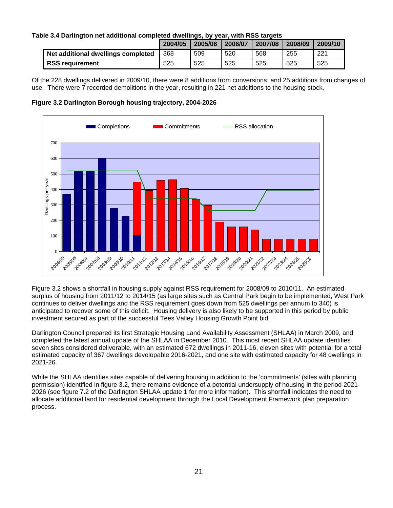## **Table 3.4 Darlington net additional completed dwellings, by year, with RSS targets**

|                                    | 2004/05 | 2005/06 | 2006/07 | 2007/08 | 2008/09 | 2009/10 |
|------------------------------------|---------|---------|---------|---------|---------|---------|
| Net additional dwellings completed | 368     | 509     | 520     | 568     | 255     | 221     |
| <b>RSS requirement</b>             | 525     | 525     | 525     | 525     | 525     | 525     |

Of the 228 dwellings delivered in 2009/10, there were 8 additions from conversions, and 25 additions from changes of use. There were 7 recorded demolitions in the year, resulting in 221 net additions to the housing stock.





Figure 3.2 shows a shortfall in housing supply against RSS requirement for 2008/09 to 2010/11. An estimated surplus of housing from 2011/12 to 2014/15 (as large sites such as Central Park begin to be implemented, West Park continues to deliver dwellings and the RSS requirement goes down from 525 dwellings per annum to 340) is anticipated to recover some of this deficit. Housing delivery is also likely to be supported in this period by public investment secured as part of the successful Tees Valley Housing Growth Point bid.

Darlington Council prepared its first Strategic Housing Land Availability Assessment (SHLAA) in March 2009, and completed the latest annual update of the SHLAA in December 2010. This most recent SHLAA update identifies seven sites considered deliverable, with an estimated 672 dwellings in 2011-16, eleven sites with potential for a total estimated capacity of 367 dwellings developable 2016-2021, and one site with estimated capacity for 48 dwellings in 2021-26.

While the SHLAA identifies sites capable of delivering housing in addition to the 'commitments' (sites with planning permission) identified in figure 3.2, there remains evidence of a potential undersupply of housing in the period 2021- 2026 (see figure 7.2 of the Darlington SHLAA update 1 for more information). This shortfall indicates the need to allocate additional land for residential development through the Local Development Framework plan preparation process.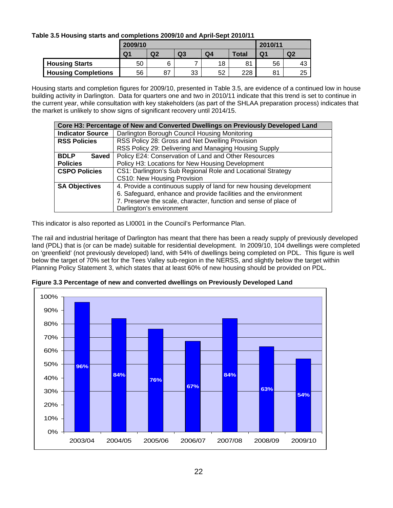# **Table 3.5 Housing starts and completions 2009/10 and April-Sept 2010/11**

|                            | 2009/10        |                |    |    |              | 2010/11        |                |  |
|----------------------------|----------------|----------------|----|----|--------------|----------------|----------------|--|
|                            | Q <sub>1</sub> | Q <sub>2</sub> | Q3 | Q4 | <b>Total</b> | Q <sub>1</sub> | Q <sub>2</sub> |  |
| <b>Housing Starts</b>      | 50             | 6              | -  | 18 | 81           | 56             | 43             |  |
| <b>Housing Completions</b> | 56             | 87             | 33 | 52 | 228          | 81             | 25             |  |

Housing starts and completion figures for 2009/10, presented in Table 3.5, are evidence of a continued low in house building activity in Darlington. Data for quarters one and two in 2010/11 indicate that this trend is set to continue in the current year, while consultation with key stakeholders (as part of the SHLAA preparation process) indicates that the market is unlikely to show signs of significant recovery until 2014/15.

|                                                                        | Core H3: Percentage of New and Converted Dwellings on Previously Developed Land |
|------------------------------------------------------------------------|---------------------------------------------------------------------------------|
| <b>Indicator Source</b>                                                | Darlington Borough Council Housing Monitoring                                   |
| RSS Policy 28: Gross and Net Dwelling Provision<br><b>RSS Policies</b> |                                                                                 |
|                                                                        | RSS Policy 29: Delivering and Managing Housing Supply                           |
| <b>BDLP</b><br><b>Saved</b>                                            | Policy E24: Conservation of Land and Other Resources                            |
| <b>Policies</b>                                                        | Policy H3: Locations for New Housing Development                                |
| <b>CSPO Policies</b>                                                   | CS1: Darlington's Sub Regional Role and Locational Strategy                     |
|                                                                        | CS10: New Housing Provision                                                     |
| <b>SA Objectives</b>                                                   | 4. Provide a continuous supply of land for new housing development              |
|                                                                        | 6. Safeguard, enhance and provide facilities and the environment                |
|                                                                        | 7. Preserve the scale, character, function and sense of place of                |
|                                                                        | Darlington's environment                                                        |

This indicator is also reported as LI0001 in the Council's Performance Plan.

The rail and industrial heritage of Darlington has meant that there has been a ready supply of previously developed land (PDL) that is (or can be made) suitable for residential development. In 2009/10, 104 dwellings were completed on 'greenfield' (not previously developed) land, with 54% of dwellings being completed on PDL. This figure is well below the target of 70% set for the Tees Valley sub-region in the NERSS, and slightly below the target within Planning Policy Statement 3, which states that at least 60% of new housing should be provided on PDL.



**Figure 3.3 Percentage of new and converted dwellings on Previously Developed Land**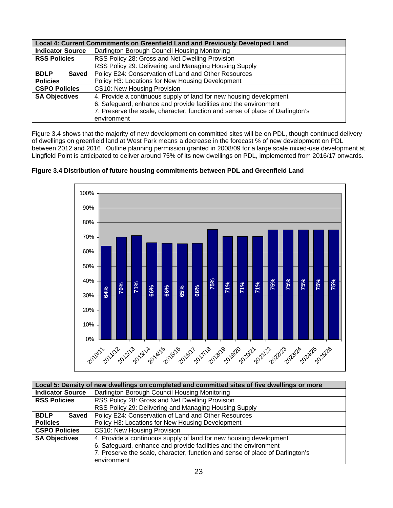|                             | Local 4: Current Commitments on Greenfield Land and Previously Developed Land |  |  |  |
|-----------------------------|-------------------------------------------------------------------------------|--|--|--|
| <b>Indicator Source</b>     | Darlington Borough Council Housing Monitoring                                 |  |  |  |
| <b>RSS Policies</b>         | RSS Policy 28: Gross and Net Dwelling Provision                               |  |  |  |
|                             | RSS Policy 29: Delivering and Managing Housing Supply                         |  |  |  |
| <b>BDLP</b><br><b>Saved</b> | Policy E24: Conservation of Land and Other Resources                          |  |  |  |
| <b>Policies</b>             | Policy H3: Locations for New Housing Development                              |  |  |  |
| <b>CSPO Policies</b>        | CS10: New Housing Provision                                                   |  |  |  |
| <b>SA Objectives</b>        | 4. Provide a continuous supply of land for new housing development            |  |  |  |
|                             | 6. Safeguard, enhance and provide facilities and the environment              |  |  |  |
|                             | 7. Preserve the scale, character, function and sense of place of Darlington's |  |  |  |
|                             | environment                                                                   |  |  |  |

Figure 3.4 shows that the majority of new development on committed sites will be on PDL, though continued delivery of dwellings on greenfield land at West Park means a decrease in the forecast % of new development on PDL between 2012 and 2016. Outline planning permission granted in 2008/09 for a large scale mixed-use development at Lingfield Point is anticipated to deliver around 75% of its new dwellings on PDL, implemented from 2016/17 onwards.



**Figure 3.4 Distribution of future housing commitments between PDL and Greenfield Land** 

|                         | Local 5: Density of new dwellings on completed and committed sites of five dwellings or more |
|-------------------------|----------------------------------------------------------------------------------------------|
| <b>Indicator Source</b> | Darlington Borough Council Housing Monitoring                                                |
| <b>RSS Policies</b>     | RSS Policy 28: Gross and Net Dwelling Provision                                              |
|                         | RSS Policy 29: Delivering and Managing Housing Supply                                        |
| <b>BDLP</b><br>Saved    | Policy E24: Conservation of Land and Other Resources                                         |
| <b>Policies</b>         | Policy H3: Locations for New Housing Development                                             |
| <b>CSPO Policies</b>    | CS10: New Housing Provision                                                                  |
| <b>SA Objectives</b>    | 4. Provide a continuous supply of land for new housing development                           |
|                         | 6. Safeguard, enhance and provide facilities and the environment                             |
|                         | 7. Preserve the scale, character, function and sense of place of Darlington's                |
|                         | environment                                                                                  |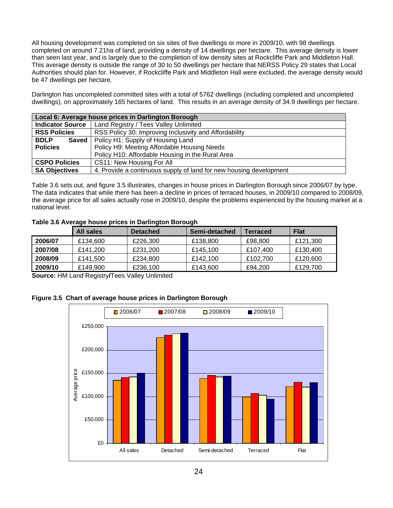All housing development was completed on six sites of five dwellings or more in 2009/10, with 98 dwellings completed on around 7.21ha of land, providing a density of 14 dwellings per hectare. This average density is lower than seen last year, and is largely due to the completion of low density sites at Rockcliffe Park and Middleton Hall. This average density is outside the range of 30 to 50 dwellings per hectare that NERSS Policy 29 states that Local Authorities should plan for. However, if Rockcliffe Park and Middleton Hall were excluded, the average density would be 47 dwellings per hectare.

Darlington has uncompleted committed sites with a total of 5762 dwellings (including completed and uncompleted dwellings), on approximately 165 hectares of land. This results in an average density of 34.9 dwellings per hectare.

| Local 6: Average house prices in Darlington Borough |                                                                    |  |  |
|-----------------------------------------------------|--------------------------------------------------------------------|--|--|
| <b>Indicator Source</b>                             | Land Registry / Tees Valley Unlimited                              |  |  |
| <b>RSS Policies</b>                                 | RSS Policy 30: Improving Inclusivity and Affordability             |  |  |
| <b>BDLP</b><br><b>Saved</b>                         | Policy H1: Supply of Housing Land                                  |  |  |
| <b>Policies</b>                                     | Policy H9: Meeting Affordable Housing Needs                        |  |  |
|                                                     | Policy H10: Affordable Housing in the Rural Area                   |  |  |
| <b>CSPO Policies</b>                                | CS11: New Housing For All                                          |  |  |
| <b>SA Objectives</b>                                | 4. Provide a continuous supply of land for new housing development |  |  |

Table 3.6 sets out, and figure 3.5 illustrates, changes in house prices in Darlington Borough since 2006/07 by type. The data indicates that while there has been a decline in prices of terraced houses, in 2009/10 compared to 2008/09, the average price for all sales actually rose in 2009/10, despite the problems experienced by the housing market at a national level.

### **Table 3.6 Average house prices in Darlington Borough**

|         | <b>All sales</b> | <b>Detached</b> | Semi-detached | Terraced | <b>Flat</b> |
|---------|------------------|-----------------|---------------|----------|-------------|
| 2006/07 | £134,600         | £226,300        | £138,800      | £98,800  | £121,300    |
| 2007/08 | £141.200         | £231,200        | £145.100      | £107,400 | £130,400    |
| 2008/09 | £141.500         | £234,800        | £142.100      | £102.700 | £120,600    |
| 2009/10 | £149.900         | £236,100        | £143,600      | £94.200  | £129,700    |

**Source:** HM Land Registry**/**Tees Valley Unlimited

# **Figure 3.5 Chart of average house prices in Darlington Borough**

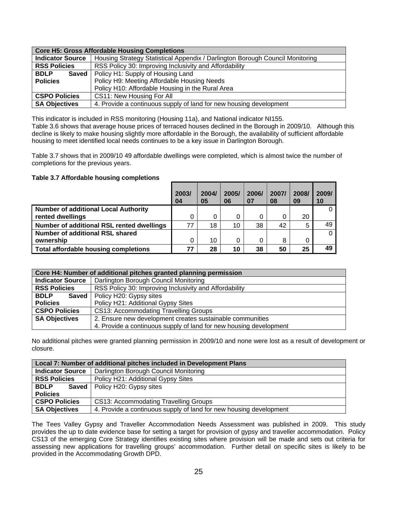| <b>Core H5: Gross Affordable Housing Completions</b> |                                                                               |  |  |  |
|------------------------------------------------------|-------------------------------------------------------------------------------|--|--|--|
| <b>Indicator Source</b>                              | Housing Strategy Statistical Appendix / Darlington Borough Council Monitoring |  |  |  |
| <b>RSS Policies</b>                                  | RSS Policy 30: Improving Inclusivity and Affordability                        |  |  |  |
| <b>BDLP</b><br><b>Saved</b>                          | Policy H1: Supply of Housing Land                                             |  |  |  |
| <b>Policies</b>                                      | Policy H9: Meeting Affordable Housing Needs                                   |  |  |  |
|                                                      | Policy H10: Affordable Housing in the Rural Area                              |  |  |  |
| <b>CSPO Policies</b>                                 | CS11: New Housing For All                                                     |  |  |  |
| <b>SA Objectives</b>                                 | 4. Provide a continuous supply of land for new housing development            |  |  |  |

This indicator is included in RSS monitoring (Housing 11a), and National indicator NI155.

Table 3.6 shows that average house prices of terraced houses declined in the Borough in 2009/10. Although this decline is likely to make housing slightly more affordable in the Borough, the availability of sufficient affordable housing to meet identified local needs continues to be a key issue in Darlington Borough.

Table 3.7 shows that in 2009/10 49 affordable dwellings were completed, which is almost twice the number of completions for the previous years.

#### **Table 3.7 Affordable housing completions**

|                                             | 2003/<br>04 | 2004/<br>05 | 2005/<br>06 | 2006/<br>07 | 2007/<br>08 | 2008/<br>09 | 2009/<br>10 |
|---------------------------------------------|-------------|-------------|-------------|-------------|-------------|-------------|-------------|
| <b>Number of additional Local Authority</b> |             |             |             |             |             |             | 0           |
| rented dwellings                            |             |             |             | 0           | 0           | 20          |             |
| Number of additional RSL rented dwellings   | 77          | 18          | 10          | 38          | 42          | 5           | 49          |
| Number of additional RSL shared             |             |             |             |             |             |             | 0           |
| ownership                                   |             | 10          |             | 0           | 8           |             |             |
| <b>Total affordable housing completions</b> | 77          | 28          | 10          | 38          | 50          | 25          | 49          |

|                         | Core H4: Number of additional pitches granted planning permission  |  |  |  |
|-------------------------|--------------------------------------------------------------------|--|--|--|
| <b>Indicator Source</b> | Darlington Borough Council Monitoring                              |  |  |  |
| <b>RSS Policies</b>     | RSS Policy 30: Improving Inclusivity and Affordability             |  |  |  |
| <b>BDLP</b><br>Saved    | Policy H20: Gypsy sites                                            |  |  |  |
| <b>Policies</b>         | Policy H21: Additional Gypsy Sites                                 |  |  |  |
| <b>CSPO Policies</b>    | <b>CS13: Accommodating Travelling Groups</b>                       |  |  |  |
| <b>SA Objectives</b>    | 2. Ensure new development creates sustainable communities          |  |  |  |
|                         | 4. Provide a continuous supply of land for new housing development |  |  |  |

No additional pitches were granted planning permission in 2009/10 and none were lost as a result of development or closure.

|                         | Local 7: Number of additional pitches included in Development Plans |  |  |
|-------------------------|---------------------------------------------------------------------|--|--|
| <b>Indicator Source</b> | Darlington Borough Council Monitoring                               |  |  |
| <b>RSS Policies</b>     | Policy H21: Additional Gypsy Sites                                  |  |  |
| <b>BDLP</b>             | <b>Saved</b>   Policy H20: Gypsy sites                              |  |  |
| <b>Policies</b>         |                                                                     |  |  |
| <b>CSPO Policies</b>    | CS13: Accommodating Travelling Groups                               |  |  |
| <b>SA Objectives</b>    | 4. Provide a continuous supply of land for new housing development  |  |  |

The Tees Valley Gypsy and Traveller Accommodation Needs Assessment was published in 2009. This study provides the up to date evidence base for setting a target for provision of gypsy and traveller accommodation. Policy CS13 of the emerging Core Strategy identifies existing sites where provision will be made and sets out criteria for assessing new applications for travelling groups' accommodation. Further detail on specific sites is likely to be provided in the Accommodating Growth DPD.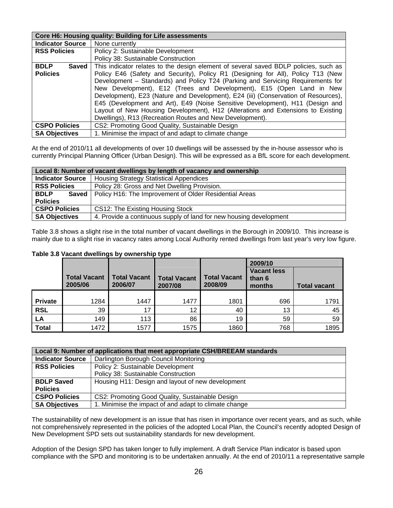|                         | Core H6: Housing quality: Building for Life assessments                              |
|-------------------------|--------------------------------------------------------------------------------------|
| <b>Indicator Source</b> | None currently                                                                       |
| <b>RSS Policies</b>     | Policy 2: Sustainable Development                                                    |
|                         | Policy 38: Sustainable Construction                                                  |
| <b>BDLP</b><br>Saved    | This indicator relates to the design element of several saved BDLP policies, such as |
| <b>Policies</b>         | Policy E46 (Safety and Security), Policy R1 (Designing for All), Policy T13 (New     |
|                         | Development – Standards) and Policy T24 (Parking and Servicing Requirements for      |
|                         | New Development), E12 (Trees and Development), E15 (Open Land in New                 |
|                         | Development), E23 (Nature and Development), E24 (iii) (Conservation of Resources),   |
|                         | E45 (Development and Art), E49 (Noise Sensitive Development), H11 (Design and        |
|                         | Layout of New Housing Development), H12 (Alterations and Extensions to Existing      |
|                         | Dwellings), R13 (Recreation Routes and New Development).                             |
| <b>CSPO Policies</b>    | CS2: Promoting Good Quality, Sustainable Design                                      |
| <b>SA Objectives</b>    | 1. Minimise the impact of and adapt to climate change                                |

At the end of 2010/11 all developments of over 10 dwellings will be assessed by the in-house assessor who is currently Principal Planning Officer (Urban Design). This will be expressed as a BfL score for each development.

| Local 8: Number of vacant dwellings by length of vacancy and ownership    |                                                                    |  |  |  |  |
|---------------------------------------------------------------------------|--------------------------------------------------------------------|--|--|--|--|
| <b>Indicator Source</b><br><b>Housing Strategy Statistical Appendices</b> |                                                                    |  |  |  |  |
| <b>RSS Policies</b>                                                       | Policy 28: Gross and Net Dwelling Provision.                       |  |  |  |  |
| <b>BDLP</b><br><b>Saved</b>                                               | Policy H16: The Improvement of Older Residential Areas             |  |  |  |  |
| <b>Policies</b>                                                           |                                                                    |  |  |  |  |
| <b>CSPO Policies</b>                                                      | CS12: The Existing Housing Stock                                   |  |  |  |  |
| <b>SA Objectives</b>                                                      | 4. Provide a continuous supply of land for new housing development |  |  |  |  |

Table 3.8 shows a slight rise in the total number of vacant dwellings in the Borough in 2009/10. This increase is mainly due to a slight rise in vacancy rates among Local Authority rented dwellings from last year's very low figure.

#### **Table 3.8 Vacant dwellings by ownership type**

|                |                                |                                |                                |                                | 2009/10                                |                     |
|----------------|--------------------------------|--------------------------------|--------------------------------|--------------------------------|----------------------------------------|---------------------|
|                | <b>Total Vacant</b><br>2005/06 | <b>Total Vacant</b><br>2006/07 | <b>Total Vacant</b><br>2007/08 | <b>Total Vacant</b><br>2008/09 | <b>Vacant less</b><br>than 6<br>months | <b>Total vacant</b> |
|                |                                |                                |                                |                                |                                        |                     |
| <b>Private</b> | 1284                           | 1447                           | 1477                           | 1801                           | 696                                    | 1791                |
| <b>RSL</b>     | 39                             | 17                             | 12                             | 40                             | 13                                     | 45                  |
| LA             | 149                            | 113                            | 86                             | 19                             | 59                                     | 59                  |
| <b>Total</b>   | 1472                           | 1577                           | 1575                           | 1860                           | 768                                    | 1895                |

|                         | Local 9: Number of applications that meet appropriate CSH/BREEAM standards |  |  |  |  |  |
|-------------------------|----------------------------------------------------------------------------|--|--|--|--|--|
| <b>Indicator Source</b> | Darlington Borough Council Monitoring                                      |  |  |  |  |  |
| <b>RSS Policies</b>     | Policy 2: Sustainable Development                                          |  |  |  |  |  |
|                         | Policy 38: Sustainable Construction                                        |  |  |  |  |  |
| <b>BDLP Saved</b>       | Housing H11: Design and layout of new development                          |  |  |  |  |  |
| <b>Policies</b>         |                                                                            |  |  |  |  |  |
| <b>CSPO Policies</b>    | CS2: Promoting Good Quality, Sustainable Design                            |  |  |  |  |  |
| <b>SA Objectives</b>    | 1. Minimise the impact of and adapt to climate change                      |  |  |  |  |  |

The sustainability of new development is an issue that has risen in importance over recent years, and as such, while not comprehensively represented in the policies of the adopted Local Plan, the Council's recently adopted Design of New Development SPD sets out sustainability standards for new development.

Adoption of the Design SPD has taken longer to fully implement. A draft Service Plan indicator is based upon compliance with the SPD and monitoring is to be undertaken annually. At the end of 2010/11 a representative sample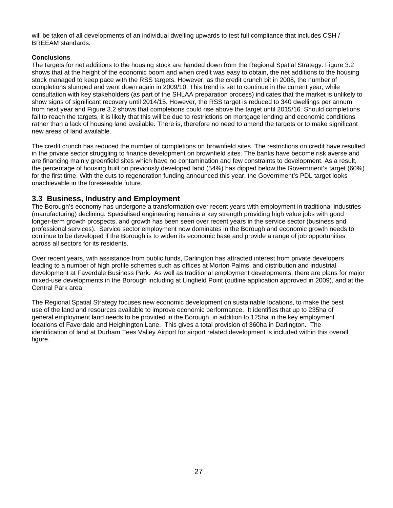will be taken of all developments of an individual dwelling upwards to test full compliance that includes CSH / BREEAM standards.

# **Conclusions**

The targets for net additions to the housing stock are handed down from the Regional Spatial Strategy. Figure 3.2 shows that at the height of the economic boom and when credit was easy to obtain, the net additions to the housing stock managed to keep pace with the RSS targets. However, as the credit crunch bit in 2008, the number of completions slumped and went down again in 2009/10. This trend is set to continue in the current year, while consultation with key stakeholders (as part of the SHLAA preparation process) indicates that the market is unlikely to show signs of significant recovery until 2014/15. However, the RSS target is reduced to 340 dwellings per annum from next year and Figure 3.2 shows that completions could rise above the target until 2015/16. Should completions fail to reach the targets, it is likely that this will be due to restrictions on mortgage lending and economic conditions rather than a lack of housing land available. There is, therefore no need to amend the targets or to make significant new areas of land available.

The credit crunch has reduced the number of completions on brownfield sites. The restrictions on credit have resulted in the private sector struggling to finance development on brownfield sites. The banks have become risk averse and are financing mainly greenfield sites which have no contamination and few constraints to development. As a result, the percentage of housing built on previously developed land (54%) has dipped below the Government's target (60%) for the first time. With the cuts to regeneration funding announced this year, the Government's PDL target looks unachievable in the foreseeable future.

# **3.3 Business, Industry and Employment**

The Borough's economy has undergone a transformation over recent years with employment in traditional industries (manufacturing) declining. Specialised engineering remains a key strength providing high value jobs with good longer-term growth prospects, and growth has been seen over recent years in the service sector (business and professional services). Service sector employment now dominates in the Borough and economic growth needs to continue to be developed if the Borough is to widen its economic base and provide a range of job opportunities across all sectors for its residents.

Over recent years, with assistance from public funds, Darlington has attracted interest from private developers leading to a number of high profile schemes such as offices at Morton Palms, and distribution and industrial development at Faverdale Business Park. As well as traditional employment developments, there are plans for major mixed-use developments in the Borough including at Lingfield Point (outline application approved in 2009), and at the Central Park area.

The Regional Spatial Strategy focuses new economic development on sustainable locations, to make the best use of the land and resources available to improve economic performance. It identifies that up to 235ha of general employment land needs to be provided in the Borough, in addition to 125ha in the key employment locations of Faverdale and Heighington Lane. This gives a total provision of 360ha in Darlington. The identification of land at Durham Tees Valley Airport for airport related development is included within this overall figure.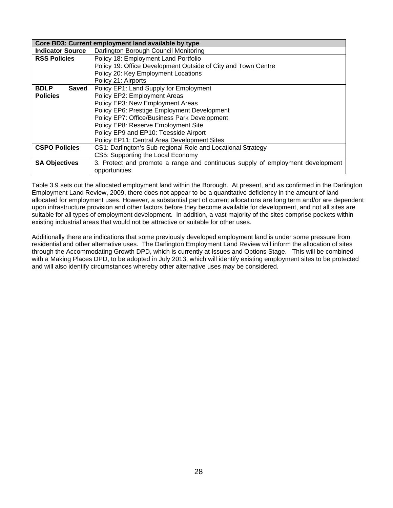|                         | Core BD3: Current employment land available by type                            |
|-------------------------|--------------------------------------------------------------------------------|
| <b>Indicator Source</b> | Darlington Borough Council Monitoring                                          |
| <b>RSS Policies</b>     | Policy 18: Employment Land Portfolio                                           |
|                         | Policy 19: Office Development Outside of City and Town Centre                  |
|                         | Policy 20: Key Employment Locations                                            |
|                         | Policy 21: Airports                                                            |
| <b>BDLP</b><br>Saved    | Policy EP1: Land Supply for Employment                                         |
| <b>Policies</b>         | Policy EP2: Employment Areas                                                   |
|                         | Policy EP3: New Employment Areas                                               |
|                         | Policy EP6: Prestige Employment Development                                    |
|                         | Policy EP7: Office/Business Park Development                                   |
|                         | Policy EP8: Reserve Employment Site                                            |
|                         | Policy EP9 and EP10: Teesside Airport                                          |
|                         | Policy EP11: Central Area Development Sites                                    |
| <b>CSPO Policies</b>    | CS1: Darlington's Sub-regional Role and Locational Strategy                    |
|                         | CS5: Supporting the Local Economy                                              |
| <b>SA Objectives</b>    | 3. Protect and promote a range and continuous supply of employment development |
|                         | opportunities                                                                  |

Table 3.9 sets out the allocated employment land within the Borough. At present, and as confirmed in the Darlington Employment Land Review, 2009, there does not appear to be a quantitative deficiency in the amount of land allocated for employment uses. However, a substantial part of current allocations are long term and/or are dependent upon infrastructure provision and other factors before they become available for development, and not all sites are suitable for all types of employment development. In addition, a vast majority of the sites comprise pockets within existing industrial areas that would not be attractive or suitable for other uses.

Additionally there are indications that some previously developed employment land is under some pressure from residential and other alternative uses. The Darlington Employment Land Review will inform the allocation of sites through the Accommodating Growth DPD, which is currently at Issues and Options Stage. This will be combined with a Making Places DPD, to be adopted in July 2013, which will identify existing employment sites to be protected and will also identify circumstances whereby other alternative uses may be considered.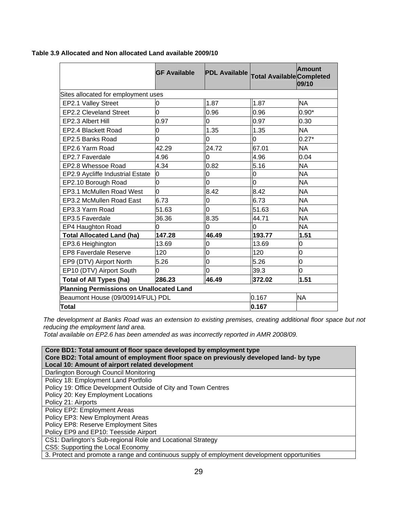|                                                 | <b>GF Available</b> | <b>PDL Available</b> | <b>Total Available Completed</b> | <b>Amount</b><br>09/10 |
|-------------------------------------------------|---------------------|----------------------|----------------------------------|------------------------|
| Sites allocated for employment uses             |                     |                      |                                  |                        |
| EP2.1 Valley Street                             | 0                   | 1.87                 | 1.87                             | NA.                    |
| <b>EP2.2 Cleveland Street</b>                   | O                   | 0.96                 | 0.96                             | $0.90*$                |
| EP2.3 Albert Hill                               | 0.97                | 0                    | 0.97                             | 0.30                   |
| EP2.4 Blackett Road                             | 0                   | 1.35                 | 1.35                             | <b>NA</b>              |
| EP2.5 Banks Road                                | O                   | 0                    | l0                               | $0.27*$                |
| EP2.6 Yarm Road                                 | 42.29               | 24.72                | 67.01                            | <b>NA</b>              |
| EP2.7 Faverdale                                 | 4.96                | O                    | 4.96                             | 0.04                   |
| EP2.8 Whessoe Road                              | 4.34                | 0.82                 | 5.16                             | <b>NA</b>              |
| EP2.9 Aycliffe Industrial Estate                | 0                   | 0                    | l0                               | <b>NA</b>              |
| EP2.10 Borough Road                             | O                   | O                    | lo                               | <b>NA</b>              |
| EP3.1 McMullen Road West                        | <sup>o</sup>        | 8.42                 | 8.42                             | <b>NA</b>              |
| EP3.2 McMullen Road East                        | 6.73                | 0                    | 6.73                             | <b>NA</b>              |
| EP3.3 Yarm Road                                 | 51.63               | O                    | 51.63                            | <b>NA</b>              |
| EP3.5 Faverdale                                 | 36.36               | 8.35                 | 44.71                            | <b>NA</b>              |
| EP4 Haughton Road                               | O                   | 0                    | 0                                | <b>NA</b>              |
| <b>Total Allocated Land (ha)</b>                | 147.28              | 46.49                | 193.77                           | 1.51                   |
| EP3.6 Heighington                               | 13.69               | O                    | 13.69                            | 0                      |
| <b>EP8 Faverdale Reserve</b>                    | 120                 | O                    | 120                              | O                      |
| EP9 (DTV) Airport North                         | 5.26                | 0                    | 5.26                             | 0                      |
| EP10 (DTV) Airport South                        | 0                   | O                    | 39.3                             | 0                      |
| <b>Total of All Types (ha)</b>                  | 286.23              | 46.49                | 372.02                           | 1.51                   |
| <b>Planning Permissions on Unallocated Land</b> |                     |                      |                                  |                        |
| Beaumont House (09/00914/FUL) PDL               |                     |                      | 0.167                            | <b>NA</b>              |
| Total                                           | 0.167               |                      |                                  |                        |

**Table 3.9 Allocated and Non allocated Land available 2009/10** 

*The development at Banks Road was an extension to existing premises, creating additional floor space but not reducing the employment land area.* 

*Total available on EP2.6 has been amended as was incorrectly reported in AMR 2008/09.* 

| Core BD1: Total amount of floor space developed by employment type                           |
|----------------------------------------------------------------------------------------------|
| Core BD2: Total amount of employment floor space on previously developed land- by type       |
| Local 10: Amount of airport related development                                              |
| Darlington Borough Council Monitoring                                                        |
| Policy 18: Employment Land Portfolio                                                         |
| Policy 19: Office Development Outside of City and Town Centres                               |
| Policy 20: Key Employment Locations                                                          |
| Policy 21: Airports                                                                          |
| Policy EP2: Employment Areas                                                                 |
| Policy EP3: New Employment Areas                                                             |
| Policy EP8: Reserve Employment Sites                                                         |
| Policy EP9 and EP10: Teesside Airport                                                        |
| CS1: Darlington's Sub-regional Role and Locational Strategy                                  |
| CS5: Supporting the Local Economy                                                            |
| 3. Protect and promote a range and continuous supply of employment development opportunities |
|                                                                                              |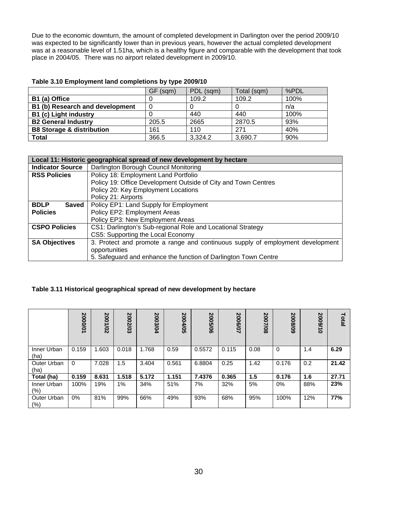Due to the economic downturn, the amount of completed development in Darlington over the period 2009/10 was expected to be significantly lower than in previous years, however the actual completed development was at a reasonable level of 1.51ha, which is a healthy figure and comparable with the development that took place in 2004/05. There was no airport related development in 2009/10.

### **Table 3.10 Employment land completions by type 2009/10**

|                                      | GF (sqm) | PDL (sqm) | Total (sqm) | %PDL |
|--------------------------------------|----------|-----------|-------------|------|
| B1 (a) Office                        |          | 109.2     | 109.2       | 100% |
| B1 (b) Research and development      | 0        |           |             | n/a  |
| B1 (c) Light industry                |          | 440       | 440         | 100% |
| <b>B2 General Industry</b>           | 205.5    | 2665      | 2870.5      | 93%  |
| <b>B8 Storage &amp; distribution</b> | 161      | 110       | 271         | 40%  |
| Total                                | 366.5    | 3,324.2   | 3,690.7     | 90%  |

|                             | Local 11: Historic geographical spread of new development by hectare           |
|-----------------------------|--------------------------------------------------------------------------------|
| <b>Indicator Source</b>     | Darlington Borough Council Monitoring                                          |
| <b>RSS Policies</b>         | Policy 18: Employment Land Portfolio                                           |
|                             | Policy 19: Office Development Outside of City and Town Centres                 |
|                             | Policy 20: Key Employment Locations                                            |
|                             | Policy 21: Airports                                                            |
| <b>BDLP</b><br><b>Saved</b> | Policy EP1: Land Supply for Employment                                         |
| <b>Policies</b>             | Policy EP2: Employment Areas                                                   |
|                             | Policy EP3: New Employment Areas                                               |
| <b>CSPO Policies</b>        | CS1: Darlington's Sub-regional Role and Locational Strategy                    |
|                             | CS5: Supporting the Local Economy                                              |
| <b>SA Objectives</b>        | 3. Protect and promote a range and continuous supply of employment development |
|                             | opportunities                                                                  |
|                             | 5. Safeguard and enhance the function of Darlington Town Centre                |

# **Table 3.11 Historical geographical spread of new development by hectare**

|                     | 2000/01  | 2001/02 | 2002/03 | 2003/04 | 2004/05 | 2005/06 | 2006/07 | 2007/08 | 2008/09     | 2009/10 | Total |
|---------------------|----------|---------|---------|---------|---------|---------|---------|---------|-------------|---------|-------|
| Inner Urban<br>(ha) | 0.159    | 1.603   | 0.018   | 1.768   | 0.59    | 0.5572  | 0.115   | 0.08    | $\mathbf 0$ | 1.4     | 6.29  |
| Outer Urban<br>(ha) | $\Omega$ | 7.028   | 1.5     | 3.404   | 0.561   | 6.8804  | 0.25    | 1.42    | 0.176       | 0.2     | 21.42 |
| Total (ha)          | 0.159    | 8.631   | 1.518   | 5.172   | 1.151   | 7.4376  | 0.365   | 1.5     | 0.176       | 1.6     | 27.71 |
| Inner Urban<br>(%)  | 100%     | 19%     | $1\%$   | 34%     | 51%     | 7%      | 32%     | 5%      | $0\%$       | 88%     | 23%   |
| Outer Urban<br>(% ) | $0\%$    | 81%     | 99%     | 66%     | 49%     | 93%     | 68%     | 95%     | 100%        | 12%     | 77%   |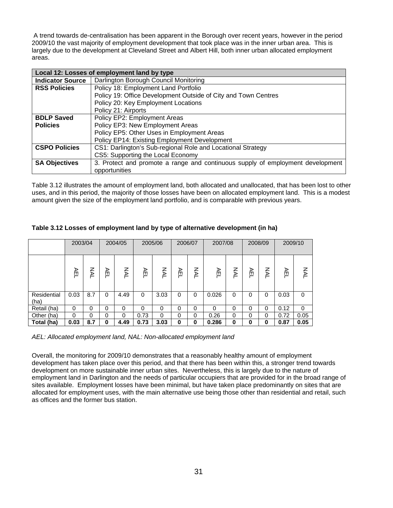A trend towards de-centralisation has been apparent in the Borough over recent years, however in the period 2009/10 the vast majority of employment development that took place was in the inner urban area. This is largely due to the development at Cleveland Street and Albert Hill, both inner urban allocated employment areas.

|                         | Local 12: Losses of employment land by type                                    |
|-------------------------|--------------------------------------------------------------------------------|
| <b>Indicator Source</b> | Darlington Borough Council Monitoring                                          |
| <b>RSS Policies</b>     | Policy 18: Employment Land Portfolio                                           |
|                         | Policy 19: Office Development Outside of City and Town Centres                 |
|                         | Policy 20: Key Employment Locations                                            |
|                         | Policy 21: Airports                                                            |
| <b>BDLP Saved</b>       | Policy EP2: Employment Areas                                                   |
| <b>Policies</b>         | Policy EP3: New Employment Areas                                               |
|                         | Policy EP5: Other Uses in Employment Areas                                     |
|                         | Policy EP14: Existing Employment Development                                   |
| <b>CSPO Policies</b>    | CS1: Darlington's Sub-regional Role and Locational Strategy                    |
|                         | CS5: Supporting the Local Economy                                              |
| <b>SA Objectives</b>    | 3. Protect and promote a range and continuous supply of employment development |
|                         | opportunities                                                                  |

Table 3.12 illustrates the amount of employment land, both allocated and unallocated, that has been lost to other uses, and in this period, the majority of those losses have been on allocated employment land. This is a modest amount given the size of the employment land portfolio, and is comparable with previous years.

|                     | 2003/04 |     |          | 2004/05 |      | 2005/06 | 2006/07 |   | 2007/08  |    | 2008/09 |          |      | 2009/10  |
|---------------------|---------|-----|----------|---------|------|---------|---------|---|----------|----|---------|----------|------|----------|
|                     | AEL     | ξ   | ¥        | ŠΣ      | 잊    | ŠΣ      | ¥       | ξ | AEL      | ŠК | 잊       | Š        | AEL  | ξ        |
| Residential<br>(ha) | 0.03    | 8.7 | 0        | 4.49    | 0    | 3.03    | 0       | 0 | 0.026    | 0  | 0       | 0        | 0.03 | $\Omega$ |
| Retail (ha)         | 0       | 0   | 0        | 0       | 0    | 0       | 0       | 0 | $\Omega$ | 0  | 0       | $\Omega$ | 0.12 | $\Omega$ |
| Other (ha)          | 0       | 0   | $\Omega$ | 0       | 0.73 | 0       | 0       | 0 | 0.26     | 0  | 0       | 0        | 0.72 | 0.05     |
| Total (ha)          | 0.03    | 8.7 | 0        | 4.49    | 0.73 | 3.03    | 0       | 0 | 0.286    | 0  | 0       | 0        | 0.87 | 0.05     |

# **Table 3.12 Losses of employment land by type of alternative development (in ha)**

*AEL: Allocated employment land, NAL: Non-allocated employment land* 

Overall, the monitoring for 2009/10 demonstrates that a reasonably healthy amount of employment development has taken place over this period, and that there has been within this, a stronger trend towards development on more sustainable inner urban sites. Nevertheless, this is largely due to the nature of employment land in Darlington and the needs of particular occupiers that are provided for in the broad range of sites available. Employment losses have been minimal, but have taken place predominantly on sites that are allocated for employment uses, with the main alternative use being those other than residential and retail, such as offices and the former bus station.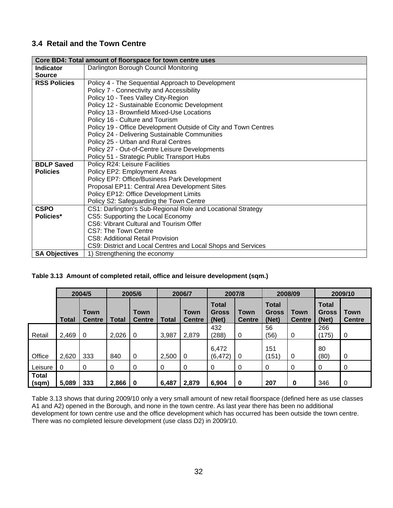# **3.4 Retail and the Town Centre**

|                      | Core BD4: Total amount of floorspace for town centre uses       |
|----------------------|-----------------------------------------------------------------|
| <b>Indicator</b>     | Darlington Borough Council Monitoring                           |
| <b>Source</b>        |                                                                 |
| <b>RSS Policies</b>  | Policy 4 - The Sequential Approach to Development               |
|                      | Policy 7 - Connectivity and Accessibility                       |
|                      | Policy 10 - Tees Valley City-Region                             |
|                      | Policy 12 - Sustainable Economic Development                    |
|                      | Policy 13 - Brownfield Mixed-Use Locations                      |
|                      | Policy 16 - Culture and Tourism                                 |
|                      | Policy 19 - Office Development Outside of City and Town Centres |
|                      | Policy 24 - Delivering Sustainable Communities                  |
|                      | Policy 25 - Urban and Rural Centres                             |
|                      | Policy 27 - Out-of-Centre Leisure Developments                  |
|                      | Policy 51 - Strategic Public Transport Hubs                     |
| <b>BDLP Saved</b>    | Policy R24: Leisure Facilities                                  |
| <b>Policies</b>      | Policy EP2: Employment Areas                                    |
|                      | Policy EP7: Office/Business Park Development                    |
|                      | Proposal EP11: Central Area Development Sites                   |
|                      | Policy EP12: Office Development Limits                          |
|                      | Policy S2: Safeguarding the Town Centre                         |
| <b>CSPO</b>          | CS1: Darlington's Sub-Regional Role and Locational Strategy     |
| Policies*            | CS5: Supporting the Local Economy                               |
|                      | CS6: Vibrant Cultural and Tourism Offer                         |
|                      | CS7: The Town Centre                                            |
|                      | CS8: Additional Retail Provision                                |
|                      | CS9: District and Local Centres and Local Shops and Services    |
| <b>SA Objectives</b> | 1) Strengthening the economy                                    |

# **Table 3.13 Amount of completed retail, office and leisure development (sqm.)**

|                       |       | 2004/5<br>2005/6      |       |                              | 2007/8<br>2006/7 |                              | 2008/09                               |                       | 2009/10                               |                       |                                       |                              |
|-----------------------|-------|-----------------------|-------|------------------------------|------------------|------------------------------|---------------------------------------|-----------------------|---------------------------------------|-----------------------|---------------------------------------|------------------------------|
|                       | Total | Town<br><b>Centre</b> | Total | <b>Town</b><br><b>Centre</b> | Total            | <b>Town</b><br><b>Centre</b> | <b>Total</b><br><b>Gross</b><br>(Net) | Town<br><b>Centre</b> | <b>Total</b><br><b>Gross</b><br>(Net) | Town<br><b>Centre</b> | <b>Total</b><br><b>Gross</b><br>(Net) | <b>Town</b><br><b>Centre</b> |
| Retail                | 2,469 | 0                     | 2,026 | 0                            | 3,987            | 2,879                        | 432<br>(288)                          | 0                     | 56<br>(56)                            | 0                     | 266<br>(175)                          | 0                            |
| Office                | 2,620 | 333                   | 840   | 0                            | 2,500            | $\Omega$                     | 6,472<br>(6, 472)                     | 0                     | 151<br>(151)                          | 0                     | 80<br>(80)                            | 0                            |
| Leisure               | 0     | 0                     | 0     | 0                            | 0                | 0                            | 0                                     | 0                     | 0                                     | 0                     | 0                                     | 0                            |
| <b>Total</b><br>(sqm) | 5,089 | 333                   | 2,866 | 0                            | 6,487            | 2,879                        | 6,904                                 | 0                     | 207                                   | $\bf{0}$              | 346                                   | $\overline{0}$               |

Table 3.13 shows that during 2009/10 only a very small amount of new retail floorspace (defined here as use classes A1 and A2) opened in the Borough, and none in the town centre. As last year there has been no additional development for town centre use and the office development which has occurred has been outside the town centre. There was no completed leisure development (use class D2) in 2009/10.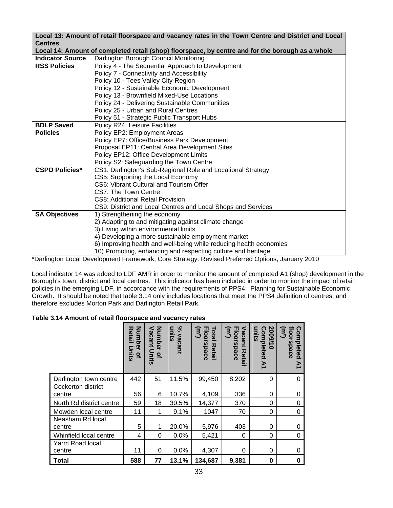|                         | Local 13: Amount of retail floorspace and vacancy rates in the Town Centre and District and Local                                                              |
|-------------------------|----------------------------------------------------------------------------------------------------------------------------------------------------------------|
| <b>Centres</b>          |                                                                                                                                                                |
|                         | Local 14: Amount of completed retail (shop) floorspace, by centre and for the borough as a whole                                                               |
| <b>Indicator Source</b> | Darlington Borough Council Monitoring                                                                                                                          |
| <b>RSS Policies</b>     | Policy 4 - The Sequential Approach to Development                                                                                                              |
|                         | Policy 7 - Connectivity and Accessibility                                                                                                                      |
|                         | Policy 10 - Tees Valley City-Region                                                                                                                            |
|                         | Policy 12 - Sustainable Economic Development                                                                                                                   |
|                         | Policy 13 - Brownfield Mixed-Use Locations                                                                                                                     |
|                         | Policy 24 - Delivering Sustainable Communities                                                                                                                 |
|                         | Policy 25 - Urban and Rural Centres                                                                                                                            |
|                         | Policy 51 - Strategic Public Transport Hubs                                                                                                                    |
| <b>BDLP Saved</b>       | Policy R24: Leisure Facilities                                                                                                                                 |
| <b>Policies</b>         | Policy EP2: Employment Areas                                                                                                                                   |
|                         | Policy EP7: Office/Business Park Development                                                                                                                   |
|                         | Proposal EP11: Central Area Development Sites                                                                                                                  |
|                         | Policy EP12: Office Development Limits                                                                                                                         |
|                         | Policy S2: Safeguarding the Town Centre                                                                                                                        |
| <b>CSPO Policies*</b>   | CS1: Darlington's Sub-Regional Role and Locational Strategy                                                                                                    |
|                         | CS5: Supporting the Local Economy                                                                                                                              |
|                         | CS6: Vibrant Cultural and Tourism Offer                                                                                                                        |
|                         | CS7: The Town Centre                                                                                                                                           |
|                         | <b>CS8: Additional Retail Provision</b>                                                                                                                        |
|                         | CS9: District and Local Centres and Local Shops and Services                                                                                                   |
| <b>SA Objectives</b>    | 1) Strengthening the economy                                                                                                                                   |
|                         | 2) Adapting to and mitigating against climate change                                                                                                           |
|                         | 3) Living within environmental limits                                                                                                                          |
|                         | 4) Developing a more sustainable employment market                                                                                                             |
|                         | 6) Improving health and well-being while reducing health economies                                                                                             |
|                         | 10) Promoting, enhancing and respecting culture and heritage<br>*Derlington Local Davelopment Framework, Caro Strategy: Boyjeed Dreferred Optione Jonuary 2010 |

\*Darlington Local Development Framework, Core Strategy: Revised Preferred Options, January 2010

Local indicator 14 was added to LDF AMR in order to monitor the amount of completed A1 (shop) development in the Borough's town, district and local centres. This indicator has been included in order to monitor the impact of retail policies in the emerging LDF, in accordance with the requirements of PPS4: Planning for Sustainable Economic Growth. It should be noted that table 3.14 only includes locations that meet the PPS4 definition of centres, and therefore excludes Morton Park and Darlington Retail Park.

## **Table 3.14 Amount of retail floorspace and vacancy rates**

|                              | <b>Number</b><br><b>Retail</b><br>Units<br>$\overline{a}$ | Number<br>acant<br>Units<br>$\overline{a}$ | వి<br>units<br>vacant | Total<br>Floorspace<br>(m <sup>2</sup><br><b>Retail</b> | Vacant<br>Floorspace<br>$(\mathsf{m}^2)$<br>观<br>etal | 2009/1<br>units<br>Completed<br>Σ | floorspace<br>$(\mathsf{m}^2)$<br>Completed<br>Σ |
|------------------------------|-----------------------------------------------------------|--------------------------------------------|-----------------------|---------------------------------------------------------|-------------------------------------------------------|-----------------------------------|--------------------------------------------------|
| Darlington town centre       | 442                                                       | 51                                         | 11.5%                 | 99,450                                                  | 8,202                                                 | 0                                 | 0                                                |
| Cockerton district<br>centre | 56                                                        | 6                                          | 10.7%                 | 4,109                                                   | 336                                                   | 0                                 | 0                                                |
| North Rd district centre     | 59                                                        | 18                                         | 30.5%                 | 14,377                                                  | 370                                                   | 0                                 | 0                                                |
| Mowden local centre          | 11                                                        | 1                                          | 9.1%                  | 1047                                                    | 70                                                    | 0                                 | $\mathbf 0$                                      |
| Neasham Rd local<br>centre   | 5                                                         | 1                                          | 20.0%                 | 5,976                                                   | 403                                                   | 0                                 | 0                                                |
| Whinfield local centre       | 4                                                         | 0                                          | 0.0%                  | 5,421                                                   | 0                                                     | 0                                 | 0                                                |
| Yarm Road local<br>centre    | 11                                                        | 0                                          | 0.0%                  | 4,307                                                   | 0                                                     | 0                                 | 0                                                |
| Total                        | 588                                                       | 77                                         | 13.1%                 | 134,687                                                 | 9,381                                                 | 0                                 | $\bf{0}$                                         |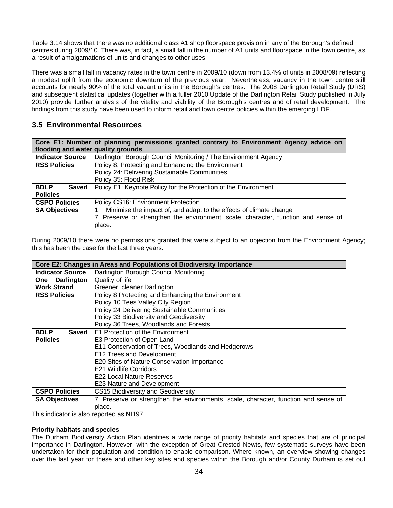Table 3.14 shows that there was no additional class A1 shop floorspace provision in any of the Borough's defined centres during 2009/10. There was, in fact, a small fall in the number of A1 units and floorspace in the town centre, as a result of amalgamations of units and changes to other uses.

There was a small fall in vacancy rates in the town centre in 2009/10 (down from 13.4% of units in 2008/09) reflecting a modest uplift from the economic downturn of the previous year. Nevertheless, vacancy in the town centre still accounts for nearly 90% of the total vacant units in the Borough's centres. The 2008 Darlington Retail Study (DRS) and subsequent statistical updates (together with a fuller 2010 Update of the Darlington Retail Study published in July 2010) provide further analysis of the vitality and viability of the Borough's centres and of retail development. The findings from this study have been used to inform retail and town centre policies within the emerging LDF.

# **3.5 Environmental Resources**

|                                    | Core E1: Number of planning permissions granted contrary to Environment Agency advice on |
|------------------------------------|------------------------------------------------------------------------------------------|
| flooding and water quality grounds |                                                                                          |
| <b>Indicator Source</b>            | Darlington Borough Council Monitoring / The Environment Agency                           |
| <b>RSS Policies</b>                | Policy 8: Protecting and Enhancing the Environment                                       |
|                                    | Policy 24: Delivering Sustainable Communities                                            |
|                                    | Policy 35: Flood Risk                                                                    |
| <b>BDLP</b><br><b>Saved</b>        | Policy E1: Keynote Policy for the Protection of the Environment                          |
| <b>Policies</b>                    |                                                                                          |
| <b>CSPO Policies</b>               | Policy CS16: Environment Protection                                                      |
| <b>SA Objectives</b>               | Minimise the impact of, and adapt to the effects of climate change                       |
|                                    | 7. Preserve or strengthen the environment, scale, character, function and sense of       |
|                                    | place.                                                                                   |

During 2009/10 there were no permissions granted that were subject to an objection from the Environment Agency; this has been the case for the last three years.

|                          | Core E2: Changes in Areas and Populations of Biodiversity Importance                |
|--------------------------|-------------------------------------------------------------------------------------|
| <b>Indicator Source</b>  | Darlington Borough Council Monitoring                                               |
| <b>Darlington</b><br>One | Quality of life                                                                     |
| <b>Work Strand</b>       | Greener, cleaner Darlington                                                         |
| <b>RSS Policies</b>      | Policy 8 Protecting and Enhancing the Environment                                   |
|                          | Policy 10 Tees Valley City Region                                                   |
|                          | Policy 24 Delivering Sustainable Communities                                        |
|                          | Policy 33 Biodiversity and Geodiversity                                             |
|                          | Policy 36 Trees, Woodlands and Forests                                              |
| <b>BDLP</b><br>Saved     | E1 Protection of the Environment                                                    |
| <b>Policies</b>          | E3 Protection of Open Land                                                          |
|                          | E11 Conservation of Trees, Woodlands and Hedgerows                                  |
|                          | E12 Trees and Development                                                           |
|                          | E20 Sites of Nature Conservation Importance                                         |
|                          | E21 Wildlife Corridors                                                              |
|                          | E22 Local Nature Reserves                                                           |
|                          | E23 Nature and Development                                                          |
| <b>CSPO Policies</b>     | <b>CS15 Biodiversity and Geodiversity</b>                                           |
| <b>SA Objectives</b>     | 7. Preserve or strengthen the environments, scale, character, function and sense of |
| .                        | place.<br>$\sim$ $\sim$ $\sim$ $\sim$ $\sim$                                        |

This indicator is also reported as NI197

#### **Priority habitats and species**

The Durham Biodiversity Action Plan identifies a wide range of priority habitats and species that are of principal importance in Darlington. However, with the exception of Great Crested Newts, few systematic surveys have been undertaken for their population and condition to enable comparison. Where known, an overview showing changes over the last year for these and other key sites and species within the Borough and/or County Durham is set out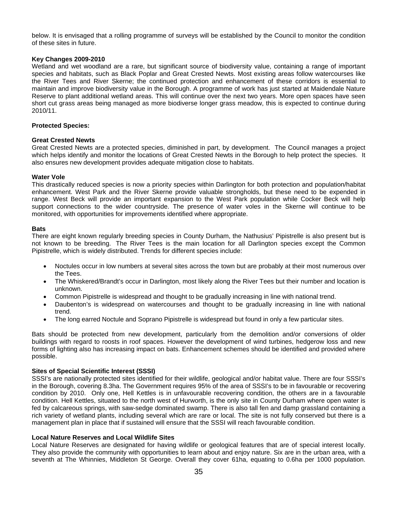below. It is envisaged that a rolling programme of surveys will be established by the Council to monitor the condition of these sites in future.

#### **Key Changes 2009-2010**

Wetland and wet woodland are a rare, but significant source of biodiversity value, containing a range of important species and habitats, such as Black Poplar and Great Crested Newts. Most existing areas follow watercourses like the River Tees and River Skerne; the continued protection and enhancement of these corridors is essential to maintain and improve biodiversity value in the Borough. A programme of work has just started at Maidendale Nature Reserve to plant additional wetland areas. This will continue over the next two years. More open spaces have seen short cut grass areas being managed as more biodiverse longer grass meadow, this is expected to continue during 2010/11.

#### **Protected Species:**

#### **Great Crested Newts**

Great Crested Newts are a protected species, diminished in part, by development. The Council manages a project which helps identify and monitor the locations of Great Crested Newts in the Borough to help protect the species. It also ensures new development provides adequate mitigation close to habitats.

#### **Water Vole**

This drastically reduced species is now a priority species within Darlington for both protection and population/habitat enhancement. West Park and the River Skerne provide valuable strongholds, but these need to be expended in range. West Beck will provide an important expansion to the West Park population while Cocker Beck will help support connections to the wider countryside. The presence of water voles in the Skerne will continue to be monitored, with opportunities for improvements identified where appropriate.

#### **Bats**

There are eight known regularly breeding species in County Durham, the Nathusius' Pipistrelle is also present but is not known to be breeding. The River Tees is the main location for all Darlington species except the Common Pipistrelle, which is widely distributed. Trends for different species include:

- Noctules occur in low numbers at several sites across the town but are probably at their most numerous over the Tees.
- The Whiskered/Brandt's occur in Darlington, most likely along the River Tees but their number and location is unknown.
- Common Pipistrelle is widespread and thought to be gradually increasing in line with national trend.
- Daubenton's is widespread on watercourses and thought to be gradually increasing in line with national trend.
- The long earred Noctule and Soprano Pipistrelle is widespread but found in only a few particular sites.

Bats should be protected from new development, particularly from the demolition and/or conversions of older buildings with regard to roosts in roof spaces. However the development of wind turbines, hedgerow loss and new forms of lighting also has increasing impact on bats. Enhancement schemes should be identified and provided where possible.

#### **Sites of Special Scientific Interest (SSSI)**

SSSI's are nationally protected sites identified for their wildlife, geological and/or habitat value. There are four SSSI's in the Borough, covering 8.3ha. The Government requires 95% of the area of SSSI's to be in favourable or recovering condition by 2010. Only one, Hell Kettles is in unfavourable recovering condition, the others are in a favourable condition. Hell Kettles, situated to the north west of Hurworth, is the only site in County Durham where open water is fed by calcareous springs, with saw-sedge dominated swamp. There is also tall fen and damp grassland containing a rich variety of wetland plants, including several which are rare or local. The site is not fully conserved but there is a management plan in place that if sustained will ensure that the SSSI will reach favourable condition.

#### **Local Nature Reserves and Local Wildlife Sites**

Local Nature Reserves are designated for having wildlife or geological features that are of special interest locally. They also provide the community with opportunities to learn about and enjoy nature. Six are in the urban area, with a seventh at The Whinnies, Middleton St George. Overall they cover 61ha, equating to 0.6ha per 1000 population.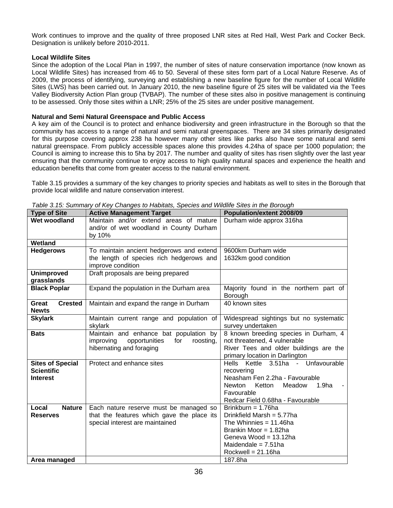Work continues to improve and the quality of three proposed LNR sites at Red Hall, West Park and Cocker Beck. Designation is unlikely before 2010-2011.

## **Local Wildlife Sites**

Since the adoption of the Local Plan in 1997, the number of sites of nature conservation importance (now known as Local Wildlife Sites) has increased from 46 to 50. Several of these sites form part of a Local Nature Reserve. As of 2009, the process of identifying, surveying and establishing a new baseline figure for the number of Local Wildlife Sites (LWS) has been carried out. In January 2010, the new baseline figure of 25 sites will be validated via the Tees Valley Biodiversity Action Plan group (TVBAP). The number of these sites also in positive management is continuing to be assessed. Only those sites within a LNR; 25% of the 25 sites are under positive management.

### **Natural and Semi Natural Greenspace and Public Access**

A key aim of the Council is to protect and enhance biodiversity and green infrastructure in the Borough so that the community has access to a range of natural and semi natural greenspaces. There are 34 sites primarily designated for this purpose covering approx 238 ha however many other sites like parks also have some natural and semi natural greenspace. From publicly accessible spaces alone this provides 4.24ha of space per 1000 population; the Council is aiming to increase this to 5ha by 2017. The number and quality of sites has risen slightly over the last year ensuring that the community continue to enjoy access to high quality natural spaces and experience the health and education benefits that come from greater access to the natural environment.

Table 3.15 provides a summary of the key changes to priority species and habitats as well to sites in the Borough that provide local wildlife and nature conservation interest.

| <b>Type of Site</b>     | rabic of ro. Cammary or rior Onangos to Habitats, Opeolos and Wilding Oltos in the Dorough<br><b>Active Management Target</b> | Population/extent 2008/09                                              |
|-------------------------|-------------------------------------------------------------------------------------------------------------------------------|------------------------------------------------------------------------|
| Wet woodland            | Maintain and/or extend areas of mature                                                                                        | Durham wide approx 316ha                                               |
|                         | and/or of wet woodland in County Durham                                                                                       |                                                                        |
|                         | by 10%                                                                                                                        |                                                                        |
| Wetland                 |                                                                                                                               |                                                                        |
| <b>Hedgerows</b>        | To maintain ancient hedgerows and extend                                                                                      | 9600km Durham wide                                                     |
|                         | the length of species rich hedgerows and                                                                                      | 1632km good condition                                                  |
|                         | improve condition                                                                                                             |                                                                        |
| <b>Unimproved</b>       | Draft proposals are being prepared                                                                                            |                                                                        |
| grasslands              |                                                                                                                               |                                                                        |
| <b>Black Poplar</b>     | Expand the population in the Durham area                                                                                      | Majority found in the northern part of                                 |
|                         |                                                                                                                               | Borough                                                                |
| <b>Crested</b><br>Great | Maintain and expand the range in Durham                                                                                       | 40 known sites                                                         |
| <b>Newts</b>            |                                                                                                                               |                                                                        |
| <b>Skylark</b>          | Maintain current range and population of                                                                                      | Widespread sightings but no systematic                                 |
|                         | skylark                                                                                                                       | survey undertaken                                                      |
| <b>Bats</b>             | Maintain and enhance bat population by                                                                                        | 8 known breeding species in Durham, 4                                  |
|                         | improving<br>opportunities<br>for<br>roosting,<br>hibernating and foraging                                                    | not threatened, 4 vulnerable<br>River Tees and older buildings are the |
|                         |                                                                                                                               | primary location in Darlington                                         |
| <b>Sites of Special</b> | Protect and enhance sites                                                                                                     | Hells Kettle 3.51ha - Unfavourable                                     |
| <b>Scientific</b>       |                                                                                                                               | recovering                                                             |
| <b>Interest</b>         |                                                                                                                               | Neasham Fen 2.2ha - Favourable                                         |
|                         |                                                                                                                               | 1.9 <sub>ha</sub><br>Newton<br>Ketton<br>Meadow                        |
|                         |                                                                                                                               | Favourable                                                             |
|                         |                                                                                                                               | Redcar Field 0.68ha - Favourable                                       |
| <b>Nature</b><br>Local  | Each nature reserve must be managed so                                                                                        | Brinkburn = $1.76$ ha                                                  |
| <b>Reserves</b>         | that the features which gave the place its                                                                                    | Drinkfield Marsh = 5.77ha                                              |
|                         | special interest are maintained                                                                                               | The Whinnies = $11.46$ ha                                              |
|                         |                                                                                                                               | Brankin Moor = 1.82ha                                                  |
|                         |                                                                                                                               | Geneva Wood = 13.12ha                                                  |
|                         |                                                                                                                               | Maidendale = $7.51$ ha                                                 |
|                         |                                                                                                                               | Rockwell = $21.16$ ha                                                  |
| Area managed            |                                                                                                                               | 187.8ha                                                                |

*Table 3.15: Summary of Key Changes to Habitats, Species and Wildlife Sites in the Borough*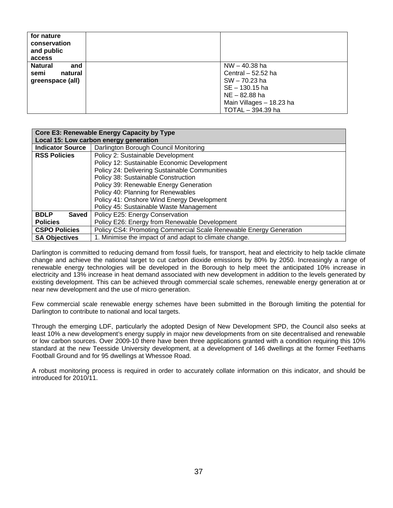| for nature<br>conservation<br>and public<br>access           |                                                                                                                                           |
|--------------------------------------------------------------|-------------------------------------------------------------------------------------------------------------------------------------------|
| <b>Natural</b><br>and<br>natural<br>semi<br>greenspace (all) | $NW - 40.38$ ha<br>Central $-52.52$ ha<br>SW-70.23 ha<br>SE - 130.15 ha<br>NE – 82.88 ha<br>Main Villages - 18.23 ha<br>TOTAL - 394.39 ha |

|                                                                  | Core E3: Renewable Energy Capacity by Type                         |  |  |  |  |  |  |
|------------------------------------------------------------------|--------------------------------------------------------------------|--|--|--|--|--|--|
|                                                                  | Local 15: Low carbon energy generation                             |  |  |  |  |  |  |
| <b>Indicator Source</b><br>Darlington Borough Council Monitoring |                                                                    |  |  |  |  |  |  |
| <b>RSS Policies</b>                                              | Policy 2: Sustainable Development                                  |  |  |  |  |  |  |
|                                                                  | Policy 12: Sustainable Economic Development                        |  |  |  |  |  |  |
|                                                                  | Policy 24: Delivering Sustainable Communities                      |  |  |  |  |  |  |
|                                                                  | Policy 38: Sustainable Construction                                |  |  |  |  |  |  |
|                                                                  | Policy 39: Renewable Energy Generation                             |  |  |  |  |  |  |
|                                                                  | Policy 40: Planning for Renewables                                 |  |  |  |  |  |  |
|                                                                  | Policy 41: Onshore Wind Energy Development                         |  |  |  |  |  |  |
|                                                                  | Policy 45: Sustainable Waste Management                            |  |  |  |  |  |  |
| <b>BDLP</b><br><b>Saved</b>                                      | Policy E25: Energy Conservation                                    |  |  |  |  |  |  |
| <b>Policies</b>                                                  | Policy E26: Energy from Renewable Development                      |  |  |  |  |  |  |
| <b>CSPO Policies</b>                                             | Policy CS4: Promoting Commercial Scale Renewable Energy Generation |  |  |  |  |  |  |
| <b>SA Objectives</b>                                             | 1. Minimise the impact of and adapt to climate change.             |  |  |  |  |  |  |

Darlington is committed to reducing demand from fossil fuels, for transport, heat and electricity to help tackle climate change and achieve the national target to cut carbon dioxide emissions by 80% by 2050. Increasingly a range of renewable energy technologies will be developed in the Borough to help meet the anticipated 10% increase in electricity and 13% increase in heat demand associated with new development in addition to the levels generated by existing development. This can be achieved through commercial scale schemes, renewable energy generation at or near new development and the use of micro generation.

Few commercial scale renewable energy schemes have been submitted in the Borough limiting the potential for Darlington to contribute to national and local targets.

Through the emerging LDF, particularly the adopted Design of New Development SPD, the Council also seeks at least 10% a new development's energy supply in major new developments from on site decentralised and renewable or low carbon sources. Over 2009-10 there have been three applications granted with a condition requiring this 10% standard at the new Teesside University development, at a development of 146 dwellings at the former Feethams Football Ground and for 95 dwellings at Whessoe Road.

A robust monitoring process is required in order to accurately collate information on this indicator, and should be introduced for 2010/11.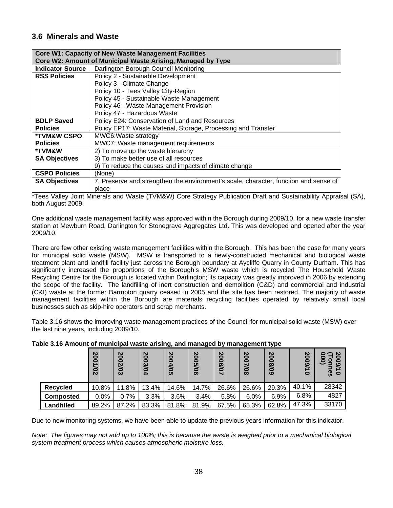# **3.6 Minerals and Waste**

|                         | <b>Core W1: Capacity of New Waste Management Facilities</b>                          |  |  |  |  |  |
|-------------------------|--------------------------------------------------------------------------------------|--|--|--|--|--|
|                         | Core W2: Amount of Municipal Waste Arising, Managed by Type                          |  |  |  |  |  |
| <b>Indicator Source</b> | Darlington Borough Council Monitoring                                                |  |  |  |  |  |
| <b>RSS Policies</b>     | Policy 2 - Sustainable Development                                                   |  |  |  |  |  |
|                         | Policy 3 - Climate Change                                                            |  |  |  |  |  |
|                         | Policy 10 - Tees Valley City-Region                                                  |  |  |  |  |  |
|                         | Policy 45 - Sustainable Waste Management                                             |  |  |  |  |  |
|                         | Policy 46 - Waste Management Provision                                               |  |  |  |  |  |
|                         | Policy 47 - Hazardous Waste                                                          |  |  |  |  |  |
| <b>BDLP Saved</b>       | Policy E24: Conservation of Land and Resources                                       |  |  |  |  |  |
| <b>Policies</b>         | Policy EP17: Waste Material, Storage, Processing and Transfer                        |  |  |  |  |  |
| <b>*TVM&amp;W CSPO</b>  | MWC6: Waste strategy                                                                 |  |  |  |  |  |
| <b>Policies</b>         | MWC7: Waste management requirements                                                  |  |  |  |  |  |
| *TVM&W                  | 2) To move up the waste hierarchy                                                    |  |  |  |  |  |
| <b>SA Objectives</b>    | 3) To make better use of all resources                                               |  |  |  |  |  |
|                         | 9) To reduce the causes and impacts of climate change                                |  |  |  |  |  |
| <b>CSPO Policies</b>    | (None)                                                                               |  |  |  |  |  |
| <b>SA Objectives</b>    | 7. Preserve and strengthen the environment's scale, character, function and sense of |  |  |  |  |  |
|                         | place                                                                                |  |  |  |  |  |

\*Tees Valley Joint Minerals and Waste (TVM&W) Core Strategy Publication Draft and Sustainability Appraisal (SA), both August 2009.

One additional waste management facility was approved within the Borough during 2009/10, for a new waste transfer station at Mewburn Road, Darlington for Stonegrave Aggregates Ltd. This was developed and opened after the year 2009/10.

There are few other existing waste management facilities within the Borough. This has been the case for many years for municipal solid waste (MSW). MSW is transported to a newly-constructed mechanical and biological waste treatment plant and landfill facility just across the Borough boundary at Aycliffe Quarry in County Durham. This has significantly increased the proportions of the Borough's MSW waste which is recycled The Household Waste Recycling Centre for the Borough is located within Darlington; its capacity was greatly improved in 2006 by extending the scope of the facility. The landfilling of inert construction and demolition (C&D) and commercial and industrial (C&I) waste at the former Barmpton quarry ceased in 2005 and the site has been restored. The majority of waste management facilities within the Borough are materials recycling facilities operated by relatively small local businesses such as skip-hire operators and scrap merchants.

Table 3.16 shows the improving waste management practices of the Council for municipal solid waste (MSW) over the last nine years, including 2009/10.

|                  | 2001/02 | 2002/03 | 2003/04 | 2004/05 | 2005/06 | 2006/07 | 2007/08 | 2008/09 | 2009/1<br>$\circ$ | 0<br>ల<br>ဖ<br>ၷ<br>$\circ$ |
|------------------|---------|---------|---------|---------|---------|---------|---------|---------|-------------------|-----------------------------|
| Recycled         | 10.8%   | 11.8%   | 13.4%   | 14.6%   | 14.7%   | 26.6%   | 26.6%   | 29.3%   | 40.1%             | 28342                       |
| <b>Composted</b> | $0.0\%$ | 0.7%    | 3.3%    | 3.6%    | 3.4%    | 5.8%    | 6.0%    | 6.9%    | 6.8%              | 4827                        |
| Landfilled       | 89.2%   | 87.2%   | 83.3%   | 81.8%   | 81.9%   | 67.5%   | 65.3%   | 62.8%   | 47.3%             | 33170                       |

**Table 3.16 Amount of municipal waste arising, and managed by management type** 

Due to new monitoring systems, we have been able to update the previous years information for this indicator.

*Note:* The figures may not add up to 100%; this is because the waste is weighed prior to a mechanical biological *system treatment process which causes atmospheric moisture loss.*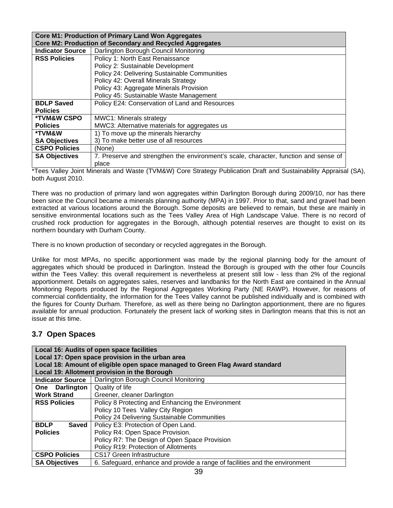| <b>Core M1: Production of Primary Land Won Aggregates</b> |                                                                                      |  |  |  |  |
|-----------------------------------------------------------|--------------------------------------------------------------------------------------|--|--|--|--|
|                                                           | <b>Core M2: Production of Secondary and Recycled Aggregates</b>                      |  |  |  |  |
| <b>Indicator Source</b>                                   | Darlington Borough Council Monitoring                                                |  |  |  |  |
| <b>RSS Policies</b>                                       | Policy 1: North East Renaissance                                                     |  |  |  |  |
|                                                           | Policy 2: Sustainable Development                                                    |  |  |  |  |
|                                                           | Policy 24: Delivering Sustainable Communities                                        |  |  |  |  |
|                                                           | Policy 42: Overall Minerals Strategy                                                 |  |  |  |  |
|                                                           | Policy 43: Aggregate Minerals Provision                                              |  |  |  |  |
|                                                           | Policy 45: Sustainable Waste Management                                              |  |  |  |  |
| <b>BDLP Saved</b>                                         | Policy E24: Conservation of Land and Resources                                       |  |  |  |  |
| <b>Policies</b>                                           |                                                                                      |  |  |  |  |
| <b>*TVM&amp;W CSPO</b>                                    | <b>MWC1: Minerals strategy</b>                                                       |  |  |  |  |
| <b>Policies</b>                                           | MWC3: Alternative materials for aggregates us                                        |  |  |  |  |
| *TVM&W                                                    | 1) To move up the minerals hierarchy                                                 |  |  |  |  |
| <b>SA Objectives</b>                                      | 3) To make better use of all resources                                               |  |  |  |  |
| <b>CSPO Policies</b>                                      | (None)                                                                               |  |  |  |  |
| <b>SA Objectives</b>                                      | 7. Preserve and strengthen the environment's scale, character, function and sense of |  |  |  |  |
|                                                           | place                                                                                |  |  |  |  |

\*Tees Valley Joint Minerals and Waste (TVM&W) Core Strategy Publication Draft and Sustainability Appraisal (SA), both August 2010.

There was no production of primary land won aggregates within Darlington Borough during 2009/10, nor has there been since the Council became a minerals planning authority (MPA) in 1997. Prior to that, sand and gravel had been extracted at various locations around the Borough. Some deposits are believed to remain, but these are mainly in sensitive environmental locations such as the Tees Valley Area of High Landscape Value. There is no record of crushed rock production for aggregates in the Borough, although potential reserves are thought to exist on its northern boundary with Durham County.

There is no known production of secondary or recycled aggregates in the Borough.

Unlike for most MPAs, no specific apportionment was made by the regional planning body for the amount of aggregates which should be produced in Darlington. Instead the Borough is grouped with the other four Councils within the Tees Valley: this overall requirement is nevertheless at present still low - less than 2% of the regional apportionment. Details on aggregates sales, reserves and landbanks for the North East are contained in the Annual Monitoring Reports produced by the Regional Aggregates Working Party (NE RAWP). However, for reasons of commercial confidentiality, the information for the Tees Valley cannot be published individually and is combined with the figures for County Durham. Therefore, as well as there being no Darlington apportionment, there are no figures available for annual production. Fortunately the present lack of working sites in Darlington means that this is not an issue at this time.

# **3.7 Open Spaces**

| Local 16: Audits of open space facilities<br>Local 17: Open space provision in the urban area<br>Local 18: Amount of eligible open space managed to Green Flag Award standard<br>Local 19: Allotment provision in the Borough |                                                                             |  |  |  |  |
|-------------------------------------------------------------------------------------------------------------------------------------------------------------------------------------------------------------------------------|-----------------------------------------------------------------------------|--|--|--|--|
| <b>Indicator Source</b>                                                                                                                                                                                                       | Darlington Borough Council Monitoring                                       |  |  |  |  |
| <b>Darlington</b><br>One                                                                                                                                                                                                      | Quality of life                                                             |  |  |  |  |
| <b>Work Strand</b>                                                                                                                                                                                                            | Greener, cleaner Darlington                                                 |  |  |  |  |
| <b>RSS Policies</b>                                                                                                                                                                                                           | Policy 8 Protecting and Enhancing the Environment                           |  |  |  |  |
|                                                                                                                                                                                                                               | Policy 10 Tees Valley City Region                                           |  |  |  |  |
|                                                                                                                                                                                                                               | Policy 24 Delivering Sustainable Communities                                |  |  |  |  |
| <b>BDLP</b><br>Saved                                                                                                                                                                                                          | Policy E3: Protection of Open Land.                                         |  |  |  |  |
| <b>Policies</b>                                                                                                                                                                                                               | Policy R4: Open Space Provision.                                            |  |  |  |  |
|                                                                                                                                                                                                                               | Policy R7: The Design of Open Space Provision                               |  |  |  |  |
|                                                                                                                                                                                                                               | Policy R19: Protection of Allotments                                        |  |  |  |  |
| <b>CSPO Policies</b>                                                                                                                                                                                                          | CS17 Green Infrastructure                                                   |  |  |  |  |
| <b>SA Objectives</b>                                                                                                                                                                                                          | 6. Safeguard, enhance and provide a range of facilities and the environment |  |  |  |  |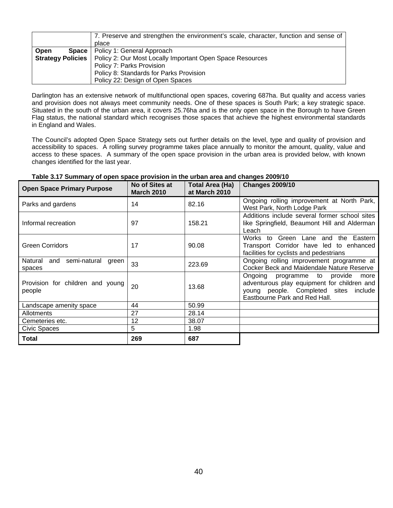|                          | 7. Preserve and strengthen the environment's scale, character, function and sense of |  |
|--------------------------|--------------------------------------------------------------------------------------|--|
|                          | place                                                                                |  |
| Open<br>Space            | Policy 1: General Approach                                                           |  |
| <b>Strategy Policies</b> | Policy 2: Our Most Locally Important Open Space Resources                            |  |
|                          | Policy 7: Parks Provision                                                            |  |
|                          | Policy 8: Standards for Parks Provision                                              |  |
|                          | Policy 22: Design of Open Spaces                                                     |  |

Darlington has an extensive network of multifunctional open spaces, covering 687ha. But quality and access varies and provision does not always meet community needs. One of these spaces is South Park; a key strategic space. Situated in the south of the urban area, it covers 25.76ha and is the only open space in the Borough to have Green Flag status, the national standard which recognises those spaces that achieve the highest environmental standards in England and Wales.

The Council's adopted Open Space Strategy sets out further details on the level, type and quality of provision and accessibility to spaces. A rolling survey programme takes place annually to monitor the amount, quality, value and access to these spaces. A summary of the open space provision in the urban area is provided below, with known changes identified for the last year.

| <b>Open Space Primary Purpose</b>                 | No of Sites at<br><b>March 2010</b> | Total Area (Ha)<br>at March 2010 | <b>Changes 2009/10</b>                                                                                                                                              |
|---------------------------------------------------|-------------------------------------|----------------------------------|---------------------------------------------------------------------------------------------------------------------------------------------------------------------|
| Parks and gardens                                 | 14                                  | 82.16                            | Ongoing rolling improvement at North Park,<br>West Park, North Lodge Park                                                                                           |
| Informal recreation                               | 97                                  | 158.21                           | Additions include several former school sites<br>like Springfield, Beaumont Hill and Alderman<br>Leach                                                              |
| <b>Green Corridors</b>                            | 17                                  | 90.08                            | Green Lane<br>Works to<br>the Eastern<br>and<br>Transport Corridor have led to enhanced<br>facilities for cyclists and pedestrians                                  |
| Natural<br>semi-natural<br>and<br>green<br>spaces | 33                                  | 223.69                           | Ongoing rolling improvement programme at<br><b>Cocker Beck and Maidendale Nature Reserve</b>                                                                        |
| Provision for children and young<br>people        | 20                                  | 13.68                            | Ongoing programme to<br>provide<br>more<br>adventurous play equipment for children and<br>young people. Completed sites<br>include<br>Eastbourne Park and Red Hall. |
| Landscape amenity space                           | 44                                  | 50.99                            |                                                                                                                                                                     |
| Allotments                                        | 27                                  | 28.14                            |                                                                                                                                                                     |
| Cemeteries etc.                                   | 12                                  | 38.07                            |                                                                                                                                                                     |
| Civic Spaces                                      | 5                                   | 1.98                             |                                                                                                                                                                     |
| Total                                             | 269                                 | 687                              |                                                                                                                                                                     |

#### **Table 3.17 Summary of open space provision in the urban area and changes 2009/10**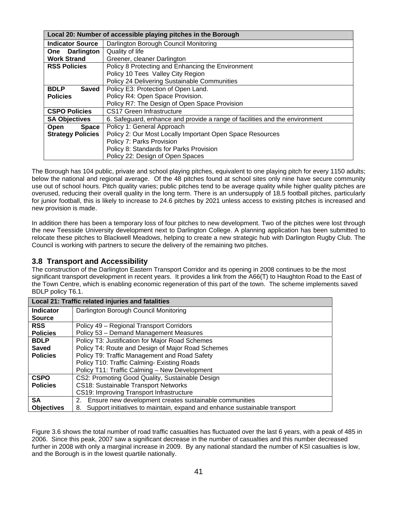|                                   | Local 20: Number of accessible playing pitches in the Borough               |  |  |
|-----------------------------------|-----------------------------------------------------------------------------|--|--|
| <b>Indicator Source</b>           | Darlington Borough Council Monitoring                                       |  |  |
| Quality of life<br>One Darlington |                                                                             |  |  |
| <b>Work Strand</b>                | Greener, cleaner Darlington                                                 |  |  |
| <b>RSS Policies</b>               | Policy 8 Protecting and Enhancing the Environment                           |  |  |
|                                   | Policy 10 Tees Valley City Region                                           |  |  |
|                                   | Policy 24 Delivering Sustainable Communities                                |  |  |
| <b>Saved</b><br><b>BDLP</b>       | Policy E3: Protection of Open Land.                                         |  |  |
| <b>Policies</b>                   | Policy R4: Open Space Provision.                                            |  |  |
|                                   | Policy R7: The Design of Open Space Provision                               |  |  |
| <b>CSPO Policies</b>              | CS17 Green Infrastructure                                                   |  |  |
| <b>SA Objectives</b>              | 6. Safeguard, enhance and provide a range of facilities and the environment |  |  |
| <b>Space</b><br><b>Open</b>       | Policy 1: General Approach                                                  |  |  |
| <b>Strategy Policies</b>          | Policy 2: Our Most Locally Important Open Space Resources                   |  |  |
|                                   | Policy 7: Parks Provision                                                   |  |  |
|                                   | Policy 8: Standards for Parks Provision                                     |  |  |
|                                   | Policy 22: Design of Open Spaces                                            |  |  |

The Borough has 104 public, private and school playing pitches, equivalent to one playing pitch for every 1150 adults; below the national and regional average. Of the 48 pitches found at school sites only nine have secure community use out of school hours. Pitch quality varies; public pitches tend to be average quality while higher quality pitches are overused, reducing their overall quality in the long term. There is an undersupply of 18.5 football pitches, particularly for junior football, this is likely to increase to 24.6 pitches by 2021 unless access to existing pitches is increased and new provision is made.

In addition there has been a temporary loss of four pitches to new development. Two of the pitches were lost through the new Teesside University development next to Darlington College. A planning application has been submitted to relocate these pitches to Blackwell Meadows, helping to create a new strategic hub with Darlington Rugby Club. The Council is working with partners to secure the delivery of the remaining two pitches.

# **3.8 Transport and Accessibility**

The construction of the Darlington Eastern Transport Corridor and its opening in 2008 continues to be the most significant transport development in recent years. It provides a link from the A66(T) to Haughton Road to the East of the Town Centre, which is enabling economic regeneration of this part of the town. The scheme implements saved BDLP policy T6.1.

|                   | Local 21: Traffic related injuries and fatalities                               |  |  |
|-------------------|---------------------------------------------------------------------------------|--|--|
| <b>Indicator</b>  | Darlington Borough Council Monitoring                                           |  |  |
| <b>Source</b>     |                                                                                 |  |  |
| <b>RSS</b>        | Policy 49 - Regional Transport Corridors                                        |  |  |
| <b>Policies</b>   | Policy 53 - Demand Management Measures                                          |  |  |
| <b>BDLP</b>       | Policy T3: Justification for Major Road Schemes                                 |  |  |
| Saved             | Policy T4: Route and Design of Major Road Schemes                               |  |  |
| <b>Policies</b>   | Policy T9: Traffic Management and Road Safety                                   |  |  |
|                   | Policy T10: Traffic Calming- Existing Roads                                     |  |  |
|                   | Policy T11: Traffic Calming - New Development                                   |  |  |
| <b>CSPO</b>       | CS2: Promoting Good Quality, Sustainable Design                                 |  |  |
| <b>Policies</b>   | CS18: Sustainable Transport Networks                                            |  |  |
|                   | CS19: Improving Transport Infrastructure                                        |  |  |
| <b>SA</b>         | Ensure new development creates sustainable communities<br>2.                    |  |  |
| <b>Objectives</b> | Support initiatives to maintain, expand and enhance sustainable transport<br>8. |  |  |

Figure 3.6 shows the total number of road traffic casualties has fluctuated over the last 6 years, with a peak of 485 in 2006. Since this peak, 2007 saw a significant decrease in the number of casualties and this number decreased further in 2008 with only a marginal increase in 2009. By any national standard the number of KSI casualties is low, and the Borough is in the lowest quartile nationally.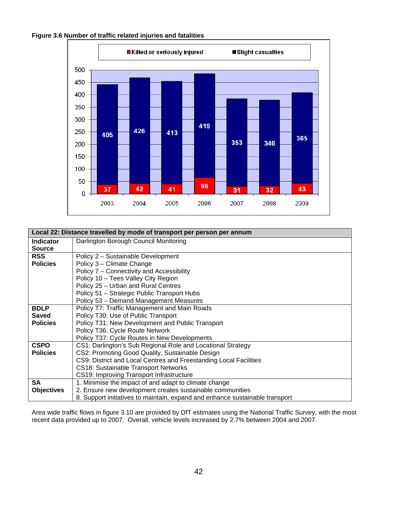

| Figure 3.6 Number of traffic related injuries and fatalities |
|--------------------------------------------------------------|
|--------------------------------------------------------------|

|                   | Local 22: Distance travelled by mode of transport per person per annum       |  |  |
|-------------------|------------------------------------------------------------------------------|--|--|
| <b>Indicator</b>  | Darlington Borough Council Monitoring                                        |  |  |
| <b>Source</b>     |                                                                              |  |  |
| <b>RSS</b>        | Policy 2 - Sustainable Development                                           |  |  |
| <b>Policies</b>   | Policy 3 - Climate Change                                                    |  |  |
|                   | Policy 7 – Connectivity and Accessibility                                    |  |  |
|                   | Policy 10 - Tees Valley City Region                                          |  |  |
|                   | Policy 25 - Urban and Rural Centres                                          |  |  |
|                   | Policy 51 - Strategic Public Transport Hubs                                  |  |  |
|                   | Policy 53 - Demand Management Measures                                       |  |  |
| <b>BDLP</b>       | Policy T7: Traffic Management and Main Roads                                 |  |  |
| <b>Saved</b>      | Policy T30: Use of Public Transport                                          |  |  |
| <b>Policies</b>   | Policy T31: New Development and Public Transport                             |  |  |
|                   | Policy T36: Cycle Route Network                                              |  |  |
|                   | Policy T37: Cycle Routes in New Developments                                 |  |  |
| <b>CSPO</b>       | CS1: Darlington's Sub Regional Role and Locational Strategy                  |  |  |
| <b>Policies</b>   | CS2: Promoting Good Quality, Sustainable Design                              |  |  |
|                   | CS9: District and Local Centres and Freestanding Local Facilities            |  |  |
|                   | <b>CS18: Sustainable Transport Networks</b>                                  |  |  |
|                   | CS19: Improving Transport Infrastructure                                     |  |  |
| <b>SA</b>         | 1. Minimise the impact of and adapt to climate change                        |  |  |
| <b>Objectives</b> | 2. Ensure new development creates sustainable communities                    |  |  |
|                   | 8. Support initiatives to maintain, expand and enhance sustainable transport |  |  |

Area wide traffic flows in figure 3.10 are provided by DfT estimates using the National Traffic Survey, with the most recent data provided up to 2007. Overall, vehicle levels increased by 2.7% between 2004 and 2007.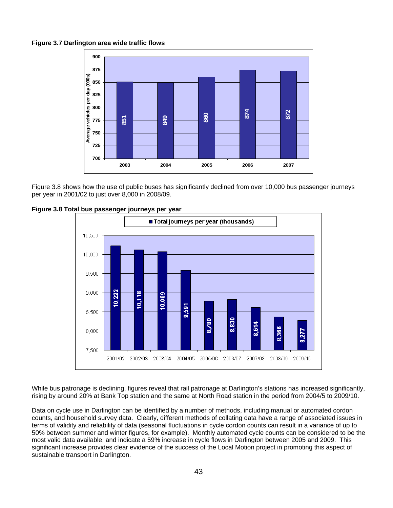**Figure 3.7 Darlington area wide traffic flows**



Figure 3.8 shows how the use of public buses has significantly declined from over 10,000 bus passenger journeys per year in 2001/02 to just over 8,000 in 2008/09.



**Figure 3.8 Total bus passenger journeys per year** 

While bus patronage is declining, figures reveal that rail patronage at Darlington's stations has increased significantly, rising by around 20% at Bank Top station and the same at North Road station in the period from 2004/5 to 2009/10.

Data on cycle use in Darlington can be identified by a number of methods, including manual or automated cordon counts, and household survey data. Clearly, different methods of collating data have a range of associated issues in terms of validity and reliability of data (seasonal fluctuations in cycle cordon counts can result in a variance of up to 50% between summer and winter figures, for example). Monthly automated cycle counts can be considered to be the most valid data available, and indicate a 59% increase in cycle flows in Darlington between 2005 and 2009. This significant increase provides clear evidence of the success of the Local Motion project in promoting this aspect of sustainable transport in Darlington.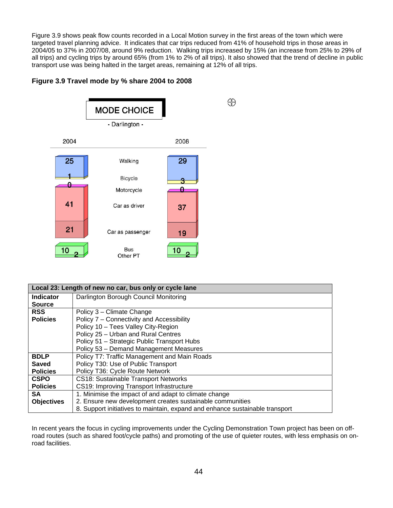Figure 3.9 shows peak flow counts recorded in a Local Motion survey in the first areas of the town which were targeted travel planning advice. It indicates that car trips reduced from 41% of household trips in those areas in 2004/05 to 37% in 2007/08, around 9% reduction. Walking trips increased by 15% (an increase from 25% to 29% of all trips) and cycling trips by around 65% (from 1% to 2% of all trips). It also showed that the trend of decline in public transport use was being halted in the target areas, remaining at 12% of all trips.

# **Figure 3.9 Travel mode by % share 2004 to 2008**



|                   | Local 23: Length of new no car, bus only or cycle lane                       |  |
|-------------------|------------------------------------------------------------------------------|--|
| Indicator         | Darlington Borough Council Monitoring                                        |  |
| <b>Source</b>     |                                                                              |  |
| <b>RSS</b>        | Policy 3 - Climate Change                                                    |  |
| <b>Policies</b>   | Policy 7 - Connectivity and Accessibility                                    |  |
|                   | Policy 10 - Tees Valley City-Region                                          |  |
|                   | Policy 25 - Urban and Rural Centres                                          |  |
|                   | Policy 51 - Strategic Public Transport Hubs                                  |  |
|                   | Policy 53 - Demand Management Measures                                       |  |
| <b>BDLP</b>       | Policy T7: Traffic Management and Main Roads                                 |  |
| Saved             | Policy T30: Use of Public Transport                                          |  |
| <b>Policies</b>   | Policy T36: Cycle Route Network                                              |  |
| <b>CSPO</b>       | <b>CS18: Sustainable Transport Networks</b>                                  |  |
| <b>Policies</b>   | CS19: Improving Transport Infrastructure                                     |  |
| <b>SA</b>         | 1. Minimise the impact of and adapt to climate change                        |  |
| <b>Objectives</b> | 2. Ensure new development creates sustainable communities                    |  |
|                   | 8. Support initiatives to maintain, expand and enhance sustainable transport |  |

In recent years the focus in cycling improvements under the Cycling Demonstration Town project has been on offroad routes (such as shared foot/cycle paths) and promoting of the use of quieter routes, with less emphasis on onroad facilities.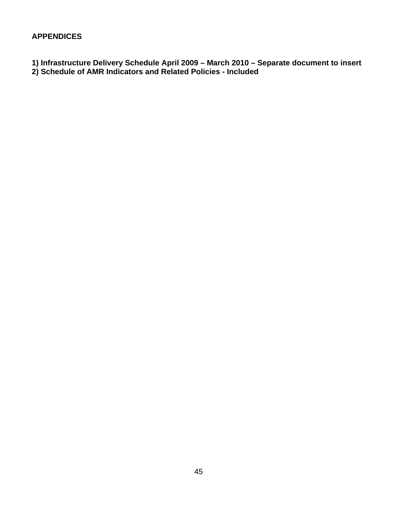# **APPENDICES**

- **1) Infrastructure Delivery Schedule April 2009 March 2010 Separate document to insert**
- **2) Schedule of AMR Indicators and Related Policies Included**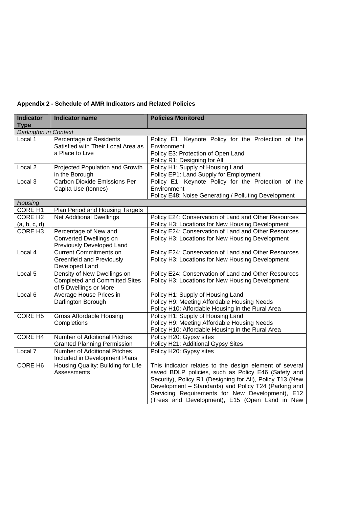| Appendix 2 - Schedule of AMR Indicators and Related Policies |
|--------------------------------------------------------------|
|--------------------------------------------------------------|

| <b>Indicator</b>               | <b>Indicator name</b>                                                                         | <b>Policies Monitored</b>                                                                                                                                                                                                                                                                                                                 |
|--------------------------------|-----------------------------------------------------------------------------------------------|-------------------------------------------------------------------------------------------------------------------------------------------------------------------------------------------------------------------------------------------------------------------------------------------------------------------------------------------|
| <b>Type</b>                    |                                                                                               |                                                                                                                                                                                                                                                                                                                                           |
| Darlington in Context          |                                                                                               |                                                                                                                                                                                                                                                                                                                                           |
| Local 1                        | Percentage of Residents<br>Satisfied with Their Local Area as<br>a Place to Live              | Policy E1: Keynote Policy for the Protection of the<br>Environment<br>Policy E3: Protection of Open Land<br>Policy R1: Designing for All                                                                                                                                                                                                  |
| Local <sub>2</sub>             | <b>Projected Population and Growth</b><br>in the Borough                                      | Policy H1: Supply of Housing Land<br>Policy EP1: Land Supply for Employment                                                                                                                                                                                                                                                               |
| Local 3                        | <b>Carbon Dioxide Emissions Per</b><br>Capita Use (tonnes)                                    | Policy E1: Keynote Policy for the Protection of the<br>Environment<br>Policy E48: Noise Generating / Polluting Development                                                                                                                                                                                                                |
| Housing                        |                                                                                               |                                                                                                                                                                                                                                                                                                                                           |
| <b>CORE H1</b>                 | Plan Period and Housing Targets                                                               |                                                                                                                                                                                                                                                                                                                                           |
| <b>CORE H2</b><br>(a, b, c, d) | <b>Net Additional Dwellings</b>                                                               | Policy E24: Conservation of Land and Other Resources<br>Policy H3: Locations for New Housing Development                                                                                                                                                                                                                                  |
| CORE H <sub>3</sub>            | Percentage of New and<br>Converted Dwellings on<br>Previously Developed Land                  | Policy E24: Conservation of Land and Other Resources<br>Policy H3: Locations for New Housing Development                                                                                                                                                                                                                                  |
| Local 4                        | <b>Current Commitments on</b><br><b>Greenfield and Previously</b><br>Developed Land           | Policy E24: Conservation of Land and Other Resources<br>Policy H3: Locations for New Housing Development                                                                                                                                                                                                                                  |
| Local 5                        | Density of New Dwellings on<br><b>Completed and Committed Sites</b><br>of 5 Dwellings or More | Policy E24: Conservation of Land and Other Resources<br>Policy H3: Locations for New Housing Development                                                                                                                                                                                                                                  |
| Local <sub>6</sub>             | Average House Prices in<br>Darlington Borough                                                 | Policy H1: Supply of Housing Land<br>Policy H9: Meeting Affordable Housing Needs<br>Policy H10: Affordable Housing in the Rural Area                                                                                                                                                                                                      |
| <b>CORE H5</b>                 | <b>Gross Affordable Housing</b><br>Completions                                                | Policy H1: Supply of Housing Land<br>Policy H9: Meeting Affordable Housing Needs<br>Policy H10: Affordable Housing in the Rural Area                                                                                                                                                                                                      |
| <b>CORE H4</b>                 | <b>Number of Additional Pitches</b><br><b>Granted Planning Permission</b>                     | Policy H20: Gypsy sites<br>Policy H21: Additional Gypsy Sites                                                                                                                                                                                                                                                                             |
| Local 7                        | <b>Number of Additional Pitches</b><br>Included in Development Plans                          | Policy H20: Gypsy sites                                                                                                                                                                                                                                                                                                                   |
| CORE H <sub>6</sub>            | Housing Quality: Building for Life<br>Assessments                                             | This indicator relates to the design element of several<br>saved BDLP policies, such as Policy E46 (Safety and<br>Security), Policy R1 (Designing for All), Policy T13 (New<br>Development - Standards) and Policy T24 (Parking and<br>Servicing Requirements for New Development), E12<br>(Trees and Development), E15 (Open Land in New |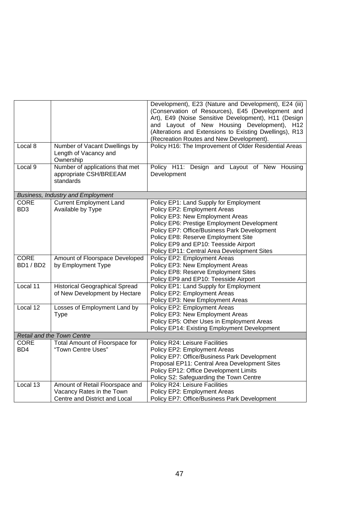| (Alterations and Extensions to Existing Dwellings), R13<br>(Recreation Routes and New Development).                                                 |
|-----------------------------------------------------------------------------------------------------------------------------------------------------|
| Local 8<br>Policy H16: The Improvement of Older Residential Areas<br>Number of Vacant Dwellings by<br>Length of Vacancy and<br>Ownership            |
| Number of applications that met<br>Local 9<br>Policy H11: Design and Layout of New<br>Housing<br>appropriate CSH/BREEAM<br>Development<br>standards |
| <b>Business, Industry and Employment</b>                                                                                                            |
| <b>CORE</b><br><b>Current Employment Land</b><br>Policy EP1: Land Supply for Employment                                                             |
| BD <sub>3</sub><br>Available by Type<br>Policy EP2: Employment Areas                                                                                |
| Policy EP3: New Employment Areas                                                                                                                    |
| Policy EP6: Prestige Employment Development                                                                                                         |
| Policy EP7: Office/Business Park Development                                                                                                        |
| Policy EP8: Reserve Employment Site                                                                                                                 |
| Policy EP9 and EP10: Teesside Airport                                                                                                               |
| Policy EP11: Central Area Development Sites                                                                                                         |
| <b>CORE</b><br>Policy EP2: Employment Areas<br>Amount of Floorspace Developed                                                                       |
| Policy EP3: New Employment Areas<br>BD1/BD2<br>by Employment Type                                                                                   |
| Policy EP8: Reserve Employment Sites                                                                                                                |
| Policy EP9 and EP10: Teesside Airport                                                                                                               |
| Local 11<br><b>Historical Geographical Spread</b><br>Policy EP1: Land Supply for Employment                                                         |
| of New Development by Hectare<br>Policy EP2: Employment Areas                                                                                       |
| Policy EP3: New Employment Areas<br>Local 12                                                                                                        |
| Losses of Employment Land by<br>Policy EP2: Employment Areas                                                                                        |
| Policy EP3: New Employment Areas<br><b>Type</b><br>Policy EP5: Other Uses in Employment Areas                                                       |
| Policy EP14: Existing Employment Development                                                                                                        |
| Retail and the Town Centre                                                                                                                          |
| <b>CORE</b><br>Total Amount of Floorspace for<br>Policy R24: Leisure Facilities                                                                     |
| "Town Centre Uses"<br>BD4<br>Policy EP2: Employment Areas                                                                                           |
| Policy EP7: Office/Business Park Development                                                                                                        |
| Proposal EP11: Central Area Development Sites                                                                                                       |
| Policy EP12: Office Development Limits                                                                                                              |
| Policy S2: Safeguarding the Town Centre                                                                                                             |
| Local 13<br>Policy R24: Leisure Facilities<br>Amount of Retail Floorspace and                                                                       |
| Vacancy Rates in the Town<br>Policy EP2: Employment Areas                                                                                           |
| Policy EP7: Office/Business Park Development<br>Centre and District and Local                                                                       |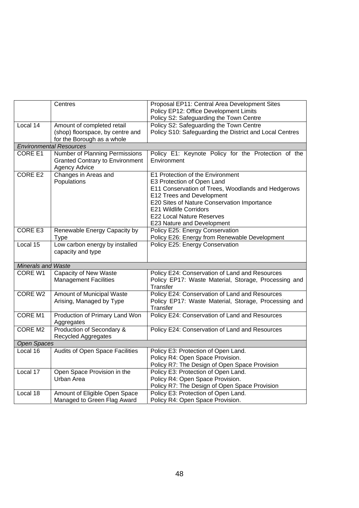|                    | Centres                                                                                          | Proposal EP11: Central Area Development Sites<br>Policy EP12: Office Development Limits                                                                                                                                                                                                      |  |
|--------------------|--------------------------------------------------------------------------------------------------|----------------------------------------------------------------------------------------------------------------------------------------------------------------------------------------------------------------------------------------------------------------------------------------------|--|
|                    |                                                                                                  | Policy S2: Safeguarding the Town Centre                                                                                                                                                                                                                                                      |  |
| Local 14           | Amount of completed retail<br>(shop) floorspace, by centre and<br>for the Borough as a whole     | Policy S2: Safeguarding the Town Centre<br>Policy S10: Safeguarding the District and Local Centres                                                                                                                                                                                           |  |
|                    | <b>Environmental Resources</b>                                                                   |                                                                                                                                                                                                                                                                                              |  |
| CORE E1            | Number of Planning Permissions<br><b>Granted Contrary to Environment</b><br><b>Agency Advice</b> | Policy E1: Keynote Policy for the Protection of the<br>Environment                                                                                                                                                                                                                           |  |
| <b>CORE E2</b>     | Changes in Areas and<br>Populations                                                              | E1 Protection of the Environment<br>E3 Protection of Open Land<br>E11 Conservation of Trees, Woodlands and Hedgerows<br>E12 Trees and Development<br>E20 Sites of Nature Conservation Importance<br>E21 Wildlife Corridors<br><b>E22 Local Nature Reserves</b><br>E23 Nature and Development |  |
| CORE E3            | Renewable Energy Capacity by<br>Type                                                             | Policy E25: Energy Conservation<br>Policy E26: Energy from Renewable Development                                                                                                                                                                                                             |  |
| Local 15           | Low carbon energy by installed<br>capacity and type                                              | Policy E25: Energy Conservation                                                                                                                                                                                                                                                              |  |
| Minerals and Waste |                                                                                                  |                                                                                                                                                                                                                                                                                              |  |
| CORE W1            | <b>Capacity of New Waste</b><br><b>Management Facilities</b>                                     | Policy E24: Conservation of Land and Resources<br>Policy EP17: Waste Material, Storage, Processing and<br>Transfer                                                                                                                                                                           |  |
| CORE W2            | Amount of Municipal Waste<br>Arising, Managed by Type                                            | Policy E24: Conservation of Land and Resources<br>Policy EP17: Waste Material, Storage, Processing and<br>Transfer                                                                                                                                                                           |  |
| <b>CORE M1</b>     | Production of Primary Land Won<br>Aggregates                                                     | Policy E24: Conservation of Land and Resources                                                                                                                                                                                                                                               |  |
| CORE M2            | Production of Secondary &<br>Recycled Aggregates                                                 | Policy E24: Conservation of Land and Resources                                                                                                                                                                                                                                               |  |
| <b>Open Spaces</b> |                                                                                                  |                                                                                                                                                                                                                                                                                              |  |
| Local 16           | Audits of Open Space Facilities                                                                  | Policy E3: Protection of Open Land.<br>Policy R4: Open Space Provision.<br>Policy R7: The Design of Open Space Provision                                                                                                                                                                     |  |
| Local 17           | Open Space Provision in the<br>Urban Area                                                        | Policy E3: Protection of Open Land.<br>Policy R4: Open Space Provision.<br>Policy R7: The Design of Open Space Provision                                                                                                                                                                     |  |
| Local 18           | Amount of Eligible Open Space<br>Managed to Green Flag Award                                     | Policy E3: Protection of Open Land.<br>Policy R4: Open Space Provision.                                                                                                                                                                                                                      |  |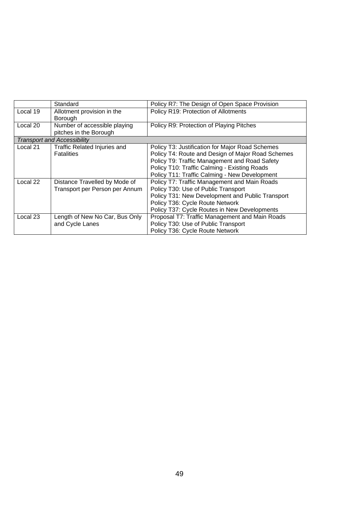|          | Standard                            | Policy R7: The Design of Open Space Provision     |
|----------|-------------------------------------|---------------------------------------------------|
| Local 19 | Allotment provision in the          | Policy R19: Protection of Allotments              |
|          | Borough                             |                                                   |
| Local 20 | Number of accessible playing        | Policy R9: Protection of Playing Pitches          |
|          | pitches in the Borough              |                                                   |
|          | <b>Transport and Accessibility</b>  |                                                   |
| Local 21 | <b>Traffic Related Injuries and</b> | Policy T3: Justification for Major Road Schemes   |
|          | <b>Fatalities</b>                   | Policy T4: Route and Design of Major Road Schemes |
|          |                                     | Policy T9: Traffic Management and Road Safety     |
|          |                                     | Policy T10: Traffic Calming - Existing Roads      |
|          |                                     | Policy T11: Traffic Calming - New Development     |
| Local 22 | Distance Travelled by Mode of       | Policy T7: Traffic Management and Main Roads      |
|          | Transport per Person per Annum      | Policy T30: Use of Public Transport               |
|          |                                     | Policy T31: New Development and Public Transport  |
|          |                                     | Policy T36: Cycle Route Network                   |
|          |                                     | Policy T37: Cycle Routes in New Developments      |
| Local 23 | Length of New No Car, Bus Only      | Proposal T7: Traffic Management and Main Roads    |
|          | and Cycle Lanes                     | Policy T30: Use of Public Transport               |
|          |                                     | Policy T36: Cycle Route Network                   |